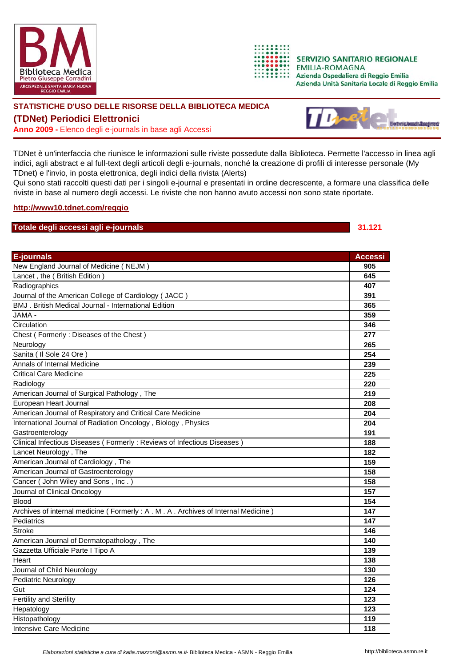



**SERVIZIO SANITARIO REGIONALE EMILIA-ROMAGNA** Azienda Ospedaliera di Reggio Emilia Azienda Unità Sanitaria Locale di Reggio Emilia

## **STATISTICHE D'USO DELLE RISORSE DELLA BIBLIOTECA MEDICA**

**(TDNet) Periodici Elettronici**

**Anno 2009 -** Elenco degli e-journals in base agli Accessi



TDNet è un'interfaccia che riunisce le informazioni sulle riviste possedute dalla Biblioteca. Permette l'accesso in linea agli indici, agli abstract e al full-text degli articoli degli e-journals, nonché la creazione di profili di interesse personale (My TDnet) e l'invio, in posta elettronica, degli indici della rivista (Alerts)

Qui sono stati raccolti questi dati per i singoli e-journal e presentati in ordine decrescente, a formare una classifica delle riviste in base al numero degli accessi. Le riviste che non hanno avuto accessi non sono state riportate.

## **<http://www10.tdnet.com/reggio>**

## **Totale degli accessi agli e-journals 31.121**

| <b>E-journals</b>                                                                | <b>Accessi</b> |
|----------------------------------------------------------------------------------|----------------|
| New England Journal of Medicine (NEJM)                                           | 905            |
| Lancet, the (British Edition)                                                    | 645            |
| Radiographics                                                                    | 407            |
| Journal of the American College of Cardiology (JACC)                             | 391            |
| <b>BMJ</b> . British Medical Journal - International Edition                     | 365            |
| JAMA -                                                                           | 359            |
| Circulation                                                                      | 346            |
| Chest (Formerly: Diseases of the Chest)                                          | 277            |
| Neurology                                                                        | 265            |
| Sanita ( Il Sole 24 Ore )                                                        | 254            |
| Annals of Internal Medicine                                                      | 239            |
| <b>Critical Care Medicine</b>                                                    | 225            |
| Radiology                                                                        | 220            |
| American Journal of Surgical Pathology, The                                      | 219            |
| European Heart Journal                                                           | 208            |
| American Journal of Respiratory and Critical Care Medicine                       | 204            |
| International Journal of Radiation Oncology, Biology, Physics                    | 204            |
| Gastroenterology                                                                 | 191            |
| Clinical Infectious Diseases ( Formerly : Reviews of Infectious Diseases )       | 188            |
| Lancet Neurology, The                                                            | 182            |
| American Journal of Cardiology, The                                              | 159            |
| American Journal of Gastroenterology                                             | 158            |
| Cancer (John Wiley and Sons, Inc.)                                               | 158            |
| Journal of Clinical Oncology                                                     | 157            |
| <b>Blood</b>                                                                     | 154            |
| Archives of internal medicine (Formerly: A. M. A. Archives of Internal Medicine) | 147            |
| Pediatrics                                                                       | 147            |
| <b>Stroke</b>                                                                    | 146            |
| American Journal of Dermatopathology, The                                        | 140            |
| Gazzetta Ufficiale Parte I Tipo A                                                | 139            |
| Heart                                                                            | 138            |
| Journal of Child Neurology                                                       | 130            |
| Pediatric Neurology                                                              | 126            |
| Gut                                                                              | 124            |
| <b>Fertility and Sterility</b>                                                   | 123            |
| Hepatology                                                                       | 123            |
| Histopathology                                                                   | 119            |
| Intensive Care Medicine                                                          | 118            |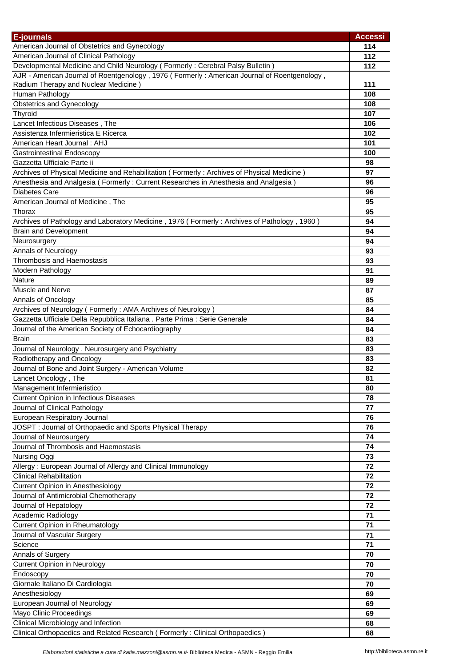| <b>E-journals</b>                                                                           | <b>Accessi</b> |
|---------------------------------------------------------------------------------------------|----------------|
| American Journal of Obstetrics and Gynecology                                               | 114            |
| American Journal of Clinical Pathology                                                      | 112            |
| Developmental Medicine and Child Neurology (Formerly: Cerebral Palsy Bulletin)              | 112            |
| AJR - American Journal of Roentgenology, 1976 (Formerly: American Journal of Roentgenology, |                |
| Radium Therapy and Nuclear Medicine)                                                        | 111            |
| Human Pathology                                                                             | 108            |
| Obstetrics and Gynecology                                                                   | 108            |
| Thyroid                                                                                     | 107            |
| Lancet Infectious Diseases, The                                                             | 106            |
| Assistenza Infermieristica E Ricerca                                                        | 102            |
| American Heart Journal: AHJ                                                                 | 101            |
| Gastrointestinal Endoscopy                                                                  | 100            |
| Gazzetta Ufficiale Parte ii                                                                 | 98             |
| Archives of Physical Medicine and Rehabilitation (Formerly: Archives of Physical Medicine)  | 97             |
| Anesthesia and Analgesia (Formerly: Current Researches in Anesthesia and Analgesia)         | 96             |
| <b>Diabetes Care</b>                                                                        | 96             |
| American Journal of Medicine, The                                                           | 95             |
| Thorax                                                                                      | 95             |
| Archives of Pathology and Laboratory Medicine, 1976 (Formerly: Archives of Pathology, 1960) | 94             |
| <b>Brain and Development</b>                                                                | 94             |
| Neurosurgery                                                                                | 94             |
| Annals of Neurology                                                                         | 93             |
| <b>Thrombosis and Haemostasis</b>                                                           | 93             |
| Modern Pathology                                                                            | 91             |
| Nature                                                                                      | 89             |
| Muscle and Nerve                                                                            | 87             |
| Annals of Oncology                                                                          | 85             |
| Archives of Neurology (Formerly: AMA Archives of Neurology)                                 | 84             |
| Gazzetta Ufficiale Della Repubblica Italiana . Parte Prima : Serie Generale                 | 84             |
| Journal of the American Society of Echocardiography                                         | 84             |
| Brain                                                                                       | 83             |
| Journal of Neurology, Neurosurgery and Psychiatry                                           | 83             |
| Radiotherapy and Oncology                                                                   | 83             |
| Journal of Bone and Joint Surgery - American Volume                                         | 82             |
| Lancet Oncology, The                                                                        | 81             |
| Management Infermieristico                                                                  | 80             |
| <b>Current Opinion in Infectious Diseases</b>                                               | 78             |
| Journal of Clinical Pathology                                                               | 77             |
| European Respiratory Journal                                                                | 76             |
| JOSPT: Journal of Orthopaedic and Sports Physical Therapy                                   | 76             |
| Journal of Neurosurgery                                                                     | 74             |
| Journal of Thrombosis and Haemostasis                                                       | 74             |
| Nursing Oggi                                                                                | 73             |
| Allergy: European Journal of Allergy and Clinical Immunology                                | 72             |
| <b>Clinical Rehabilitation</b>                                                              | 72             |
| <b>Current Opinion in Anesthesiology</b>                                                    | 72             |
| Journal of Antimicrobial Chemotherapy                                                       | 72             |
| Journal of Hepatology                                                                       | 72             |
| Academic Radiology                                                                          | 71             |
| Current Opinion in Rheumatology                                                             | 71             |
| Journal of Vascular Surgery                                                                 | 71             |
| Science                                                                                     | 71             |
| Annals of Surgery                                                                           | 70             |
| <b>Current Opinion in Neurology</b>                                                         | 70             |
| Endoscopy                                                                                   | 70             |
| Giornale Italiano Di Cardiologia                                                            | 70             |
| Anesthesiology                                                                              | 69             |
| European Journal of Neurology                                                               | 69             |
| Mayo Clinic Proceedings                                                                     | 69             |
| Clinical Microbiology and Infection                                                         | 68             |
| Clinical Orthopaedics and Related Research (Formerly: Clinical Orthopaedics)                | 68             |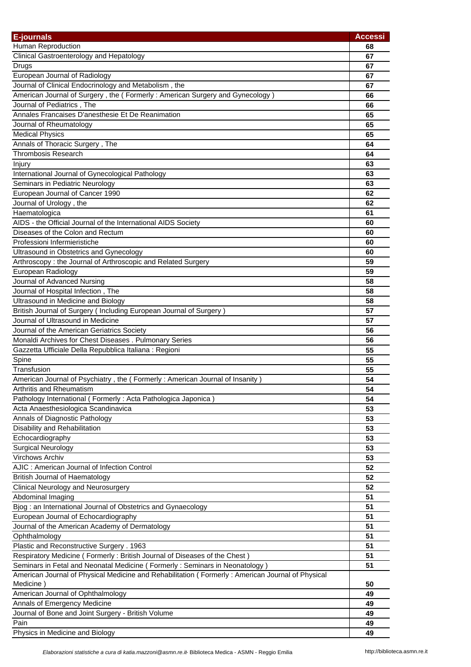| <b>E-journals</b>                                                                                               | <b>Accessi</b> |
|-----------------------------------------------------------------------------------------------------------------|----------------|
| Human Reproduction                                                                                              | 68             |
| Clinical Gastroenterology and Hepatology                                                                        | 67             |
| Drugs                                                                                                           | 67             |
| European Journal of Radiology                                                                                   | 67             |
| Journal of Clinical Endocrinology and Metabolism, the                                                           | 67             |
| American Journal of Surgery, the (Formerly: American Surgery and Gynecology)                                    | 66             |
| Journal of Pediatrics, The                                                                                      | 66             |
| Annales Francaises D'anesthesie Et De Reanimation                                                               | 65             |
| Journal of Rheumatology                                                                                         | 65             |
| <b>Medical Physics</b>                                                                                          | 65             |
| Annals of Thoracic Surgery, The                                                                                 | 64             |
| <b>Thrombosis Research</b>                                                                                      | 64             |
| Injury                                                                                                          | 63             |
| International Journal of Gynecological Pathology                                                                | 63             |
| Seminars in Pediatric Neurology                                                                                 | 63             |
| European Journal of Cancer 1990                                                                                 | 62             |
| Journal of Urology, the                                                                                         | 62             |
| Haematologica                                                                                                   | 61             |
| AIDS - the Official Journal of the International AIDS Society                                                   | 60             |
| Diseases of the Colon and Rectum                                                                                | 60             |
| Professioni Infermieristiche                                                                                    | 60             |
| Ultrasound in Obstetrics and Gynecology                                                                         | 60             |
| Arthroscopy: the Journal of Arthroscopic and Related Surgery                                                    | 59             |
| European Radiology                                                                                              | 59             |
| Journal of Advanced Nursing                                                                                     | 58             |
| Journal of Hospital Infection, The                                                                              | 58             |
| Ultrasound in Medicine and Biology                                                                              | 58             |
| British Journal of Surgery (Including European Journal of Surgery)                                              | 57             |
| Journal of Ultrasound in Medicine                                                                               | 57             |
| Journal of the American Geriatrics Society                                                                      | 56             |
| Monaldi Archives for Chest Diseases . Pulmonary Series                                                          | 56             |
| Gazzetta Ufficiale Della Repubblica Italiana : Regioni                                                          | 55             |
| Spine                                                                                                           | 55             |
| Transfusion                                                                                                     | 55             |
| American Journal of Psychiatry, the (Formerly: American Journal of Insanity)                                    | 54             |
| Arthritis and Rheumatism                                                                                        | 54             |
| Pathology International (Formerly: Acta Pathologica Japonica)                                                   | 54             |
| Acta Anaesthesiologica Scandinavica                                                                             | 53             |
| Annals of Diagnostic Pathology                                                                                  | 53             |
| Disability and Rehabilitation                                                                                   | 53             |
| Echocardiography                                                                                                | 53             |
| <b>Surgical Neurology</b>                                                                                       | 53             |
| Virchows Archiv                                                                                                 | 53             |
| AJIC: American Journal of Infection Control                                                                     | 52             |
| <b>British Journal of Haematology</b>                                                                           | 52             |
| <b>Clinical Neurology and Neurosurgery</b>                                                                      | 52             |
| Abdominal Imaging                                                                                               | 51             |
| Bjog: an International Journal of Obstetrics and Gynaecology                                                    | 51             |
| European Journal of Echocardiography                                                                            | 51             |
| Journal of the American Academy of Dermatology                                                                  | 51             |
| Ophthalmology                                                                                                   | 51             |
| Plastic and Reconstructive Surgery . 1963                                                                       | 51             |
| Respiratory Medicine (Formerly: British Journal of Diseases of the Chest)                                       | 51             |
| Seminars in Fetal and Neonatal Medicine (Formerly: Seminars in Neonatology)                                     | 51             |
| American Journal of Physical Medicine and Rehabilitation ( Formerly : American Journal of Physical<br>Medicine) | 50             |
| American Journal of Ophthalmology                                                                               | 49             |
| Annals of Emergency Medicine                                                                                    | 49             |
| Journal of Bone and Joint Surgery - British Volume                                                              | 49             |
| Pain                                                                                                            | 49             |
| Physics in Medicine and Biology                                                                                 | 49             |
|                                                                                                                 |                |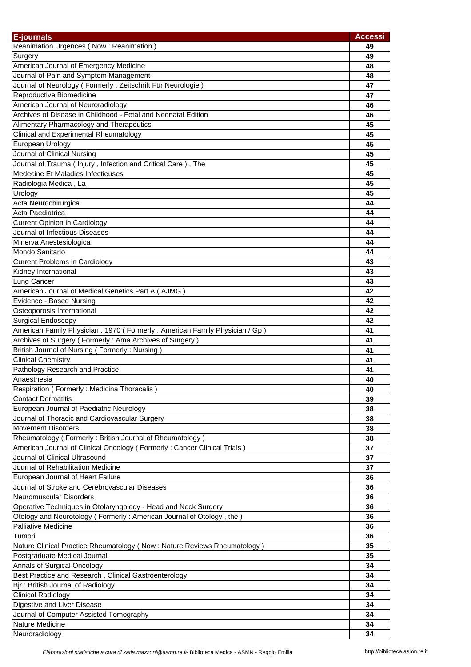| <b>E-journals</b>                                                          | <b>Accessi</b> |
|----------------------------------------------------------------------------|----------------|
| Reanimation Urgences (Now: Reanimation)                                    | 49             |
| Surgery                                                                    | 49             |
| American Journal of Emergency Medicine                                     | 48             |
| Journal of Pain and Symptom Management                                     | 48             |
| Journal of Neurology (Formerly: Zeitschrift Für Neurologie)                | 47             |
| Reproductive Biomedicine                                                   | 47             |
| American Journal of Neuroradiology                                         | 46             |
| Archives of Disease in Childhood - Fetal and Neonatal Edition              | 46             |
| Alimentary Pharmacology and Therapeutics                                   | 45             |
| Clinical and Experimental Rheumatology                                     | 45             |
| European Urology                                                           | 45             |
| Journal of Clinical Nursing                                                | 45             |
| Journal of Trauma (Injury, Infection and Critical Care), The               | 45             |
| Medecine Et Maladies Infectieuses                                          | 45             |
| Radiologia Medica, La                                                      | 45             |
| Urology                                                                    | 45             |
| Acta Neurochirurgica                                                       | 44             |
| Acta Paediatrica                                                           | 44             |
| <b>Current Opinion in Cardiology</b>                                       | 44             |
| Journal of Infectious Diseases                                             | 44             |
| Minerva Anestesiologica                                                    | 44             |
| Mondo Sanitario                                                            | 44             |
| <b>Current Problems in Cardiology</b>                                      | 43             |
| Kidney International                                                       | 43             |
| Lung Cancer                                                                | 43             |
| American Journal of Medical Genetics Part A (AJMG)                         | 42             |
| Evidence - Based Nursing                                                   | 42             |
| Osteoporosis International                                                 | 42             |
| <b>Surgical Endoscopy</b>                                                  | 42             |
| American Family Physician, 1970 (Formerly: American Family Physician / Gp) | 41             |
| Archives of Surgery (Formerly: Ama Archives of Surgery)                    | 41             |
| British Journal of Nursing (Formerly: Nursing)                             | 41             |
| <b>Clinical Chemistry</b>                                                  | 41             |
| Pathology Research and Practice                                            | 41             |
| Anaesthesia                                                                | 40             |
| Respiration (Formerly: Medicina Thoracalis)                                | 40             |
| <b>Contact Dermatitis</b>                                                  | 39             |
| European Journal of Paediatric Neurology                                   | 38             |
| Journal of Thoracic and Cardiovascular Surgery                             | 38             |
| <b>Movement Disorders</b>                                                  | 38             |
| Rheumatology (Formerly: British Journal of Rheumatology)                   | 38             |
| American Journal of Clinical Oncology (Formerly: Cancer Clinical Trials)   | 37             |
| Journal of Clinical Ultrasound                                             | 37             |
| Journal of Rehabilitation Medicine                                         | 37             |
| European Journal of Heart Failure                                          | 36             |
| Journal of Stroke and Cerebrovascular Diseases<br>Neuromuscular Disorders  | 36             |
| Operative Techniques in Otolaryngology - Head and Neck Surgery             | 36<br>36       |
| Otology and Neurotology (Formerly: American Journal of Otology, the)       | 36             |
| Palliative Medicine                                                        | 36             |
| Tumori                                                                     | 36             |
| Nature Clinical Practice Rheumatology (Now: Nature Reviews Rheumatology)   | 35             |
| Postgraduate Medical Journal                                               | 35             |
| Annals of Surgical Oncology                                                | 34             |
| Best Practice and Research . Clinical Gastroenterology                     | 34             |
| Bjr: British Journal of Radiology                                          | 34             |
| <b>Clinical Radiology</b>                                                  | 34             |
| Digestive and Liver Disease                                                | 34             |
| Journal of Computer Assisted Tomography                                    | 34             |
| Nature Medicine                                                            | 34             |
| Neuroradiology                                                             | 34             |
|                                                                            |                |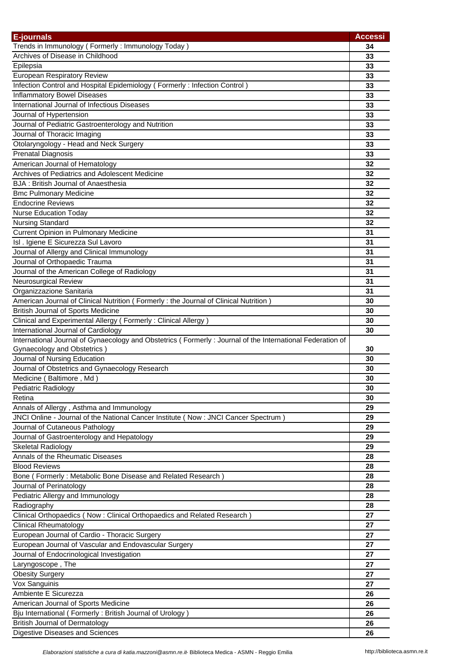| <b>E-journals</b>                                                                                         | <b>Accessi</b> |
|-----------------------------------------------------------------------------------------------------------|----------------|
| Trends in Immunology (Formerly: Immunology Today)                                                         | 34             |
| Archives of Disease in Childhood                                                                          | 33             |
| Epilepsia                                                                                                 | 33             |
| <b>European Respiratory Review</b>                                                                        | 33             |
| Infection Control and Hospital Epidemiology (Formerly: Infection Control)                                 | 33             |
| <b>Inflammatory Bowel Diseases</b>                                                                        | 33             |
| International Journal of Infectious Diseases                                                              | 33             |
| Journal of Hypertension                                                                                   | 33             |
| Journal of Pediatric Gastroenterology and Nutrition                                                       | 33             |
| Journal of Thoracic Imaging                                                                               | 33             |
| Otolaryngology - Head and Neck Surgery                                                                    | 33             |
| Prenatal Diagnosis                                                                                        | 33             |
| American Journal of Hematology                                                                            | 32             |
| Archives of Pediatrics and Adolescent Medicine                                                            | 32             |
| <b>BJA: British Journal of Anaesthesia</b>                                                                | 32             |
| <b>Bmc Pulmonary Medicine</b>                                                                             | 32             |
| <b>Endocrine Reviews</b>                                                                                  | 32             |
| <b>Nurse Education Today</b>                                                                              | 32             |
| <b>Nursing Standard</b>                                                                                   | 32             |
| <b>Current Opinion in Pulmonary Medicine</b>                                                              | 31             |
| Isl . Igiene E Sicurezza Sul Lavoro                                                                       | 31             |
| Journal of Allergy and Clinical Immunology                                                                | 31             |
| Journal of Orthopaedic Trauma                                                                             | 31             |
| Journal of the American College of Radiology                                                              | 31             |
| Neurosurgical Review                                                                                      | 31             |
| Organizzazione Sanitaria                                                                                  | 31             |
| American Journal of Clinical Nutrition (Formerly : the Journal of Clinical Nutrition)                     | 30             |
| <b>British Journal of Sports Medicine</b>                                                                 | 30             |
| Clinical and Experimental Allergy (Formerly: Clinical Allergy)                                            | 30             |
| International Journal of Cardiology                                                                       | 30             |
| International Journal of Gynaecology and Obstetrics (Formerly: Journal of the International Federation of |                |
| Gynaecology and Obstetrics)                                                                               | 30             |
| Journal of Nursing Education                                                                              | 30             |
| Journal of Obstetrics and Gynaecology Research                                                            | 30             |
| Medicine (Baltimore, Md)                                                                                  | 30             |
| Pediatric Radiology                                                                                       | 30             |
| Retina                                                                                                    | 30             |
| Annals of Allergy, Asthma and Immunology                                                                  | 29             |
| JNCI Online - Journal of the National Cancer Institute (Now: JNCI Cancer Spectrum)                        | 29             |
| Journal of Cutaneous Pathology                                                                            | 29             |
| Journal of Gastroenterology and Hepatology                                                                | 29             |
| <b>Skeletal Radiology</b>                                                                                 | 29             |
| Annals of the Rheumatic Diseases                                                                          | 28             |
| <b>Blood Reviews</b>                                                                                      | 28             |
| Bone (Formerly: Metabolic Bone Disease and Related Research)                                              | 28             |
|                                                                                                           |                |
| Journal of Perinatology                                                                                   | 28             |
| Pediatric Allergy and Immunology                                                                          | 28             |
| Radiography                                                                                               | 28             |
| Clinical Orthopaedics (Now: Clinical Orthopaedics and Related Research)                                   | 27             |
| <b>Clinical Rheumatology</b>                                                                              | 27             |
| European Journal of Cardio - Thoracic Surgery                                                             | 27             |
| European Journal of Vascular and Endovascular Surgery                                                     | 27             |
| Journal of Endocrinological Investigation                                                                 | 27             |
| Laryngoscope, The                                                                                         | 27             |
| <b>Obesity Surgery</b>                                                                                    | 27             |
| Vox Sanguinis                                                                                             | 27             |
| Ambiente E Sicurezza                                                                                      | 26             |
| American Journal of Sports Medicine                                                                       | 26             |
| Bju International (Formerly: British Journal of Urology)                                                  | 26             |
| <b>British Journal of Dermatology</b>                                                                     | 26             |
| Digestive Diseases and Sciences                                                                           | 26             |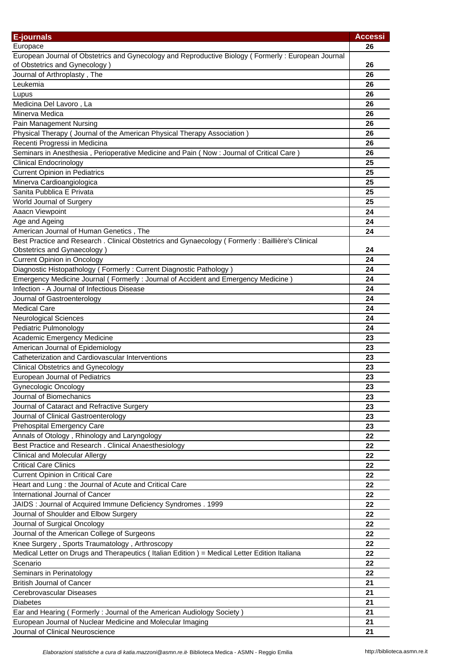| <b>E-journals</b>                                                                                                                   | <b>Accessi</b> |
|-------------------------------------------------------------------------------------------------------------------------------------|----------------|
| Europace                                                                                                                            | 26             |
| European Journal of Obstetrics and Gynecology and Reproductive Biology (Formerly: European Journal<br>of Obstetrics and Gynecology) | 26             |
| Journal of Arthroplasty, The                                                                                                        | 26             |
| Leukemia                                                                                                                            | 26             |
| Lupus                                                                                                                               | 26             |
| Medicina Del Lavoro, La                                                                                                             | 26             |
| Minerva Medica                                                                                                                      | 26             |
| Pain Management Nursing                                                                                                             | 26             |
| Physical Therapy (Journal of the American Physical Therapy Association)                                                             | 26             |
| Recenti Progressi in Medicina                                                                                                       | 26             |
| Seminars in Anesthesia, Perioperative Medicine and Pain (Now: Journal of Critical Care)                                             | 26             |
| <b>Clinical Endocrinology</b>                                                                                                       | 25             |
| <b>Current Opinion in Pediatrics</b>                                                                                                | 25             |
| Minerva Cardioangiologica                                                                                                           | 25             |
| Sanita Pubblica E Privata                                                                                                           | 25             |
| World Journal of Surgery                                                                                                            | 25             |
| Aaacn Viewpoint                                                                                                                     | 24             |
| Age and Ageing                                                                                                                      | 24             |
| American Journal of Human Genetics, The                                                                                             | 24             |
| Best Practice and Research . Clinical Obstetrics and Gynaecology (Formerly: Baillière's Clinical                                    |                |
| Obstetrics and Gynaecology)                                                                                                         | 24             |
| <b>Current Opinion in Oncology</b>                                                                                                  | 24             |
| Diagnostic Histopathology (Formerly: Current Diagnostic Pathology)                                                                  | 24             |
| Emergency Medicine Journal (Formerly: Journal of Accident and Emergency Medicine)                                                   | 24             |
| Infection - A Journal of Infectious Disease                                                                                         | 24             |
| Journal of Gastroenterology                                                                                                         | 24             |
| <b>Medical Care</b>                                                                                                                 | 24             |
| <b>Neurological Sciences</b>                                                                                                        | 24             |
| Pediatric Pulmonology                                                                                                               | 24             |
| Academic Emergency Medicine                                                                                                         | 23             |
| American Journal of Epidemiology                                                                                                    | 23             |
| Catheterization and Cardiovascular Interventions                                                                                    | 23             |
| <b>Clinical Obstetrics and Gynecology</b>                                                                                           | 23             |
| European Journal of Pediatrics                                                                                                      | 23             |
| <b>Gynecologic Oncology</b>                                                                                                         | 23             |
| Journal of Biomechanics                                                                                                             | 23             |
| Journal of Cataract and Refractive Surgery                                                                                          | 23             |
| Journal of Clinical Gastroenterology                                                                                                | 23             |
| Prehospital Emergency Care                                                                                                          | 23             |
| Annals of Otology, Rhinology and Laryngology                                                                                        | 22             |
| Best Practice and Research . Clinical Anaesthesiology                                                                               | 22             |
| <b>Clinical and Molecular Allergy</b>                                                                                               | 22             |
| <b>Critical Care Clinics</b>                                                                                                        | 22             |
| <b>Current Opinion in Critical Care</b>                                                                                             | 22             |
| Heart and Lung : the Journal of Acute and Critical Care                                                                             | 22             |
| International Journal of Cancer                                                                                                     | 22             |
| JAIDS : Journal of Acquired Immune Deficiency Syndromes . 1999                                                                      | 22             |
| Journal of Shoulder and Elbow Surgery                                                                                               | 22             |
| Journal of Surgical Oncology                                                                                                        | 22             |
| Journal of the American College of Surgeons                                                                                         | 22             |
| Knee Surgery, Sports Traumatology, Arthroscopy                                                                                      | 22             |
| Medical Letter on Drugs and Therapeutics (Italian Edition) = Medical Letter Edition Italiana<br>Scenario                            | 22             |
|                                                                                                                                     | 22<br>22       |
| Seminars in Perinatology                                                                                                            |                |
| <b>British Journal of Cancer</b><br>Cerebrovascular Diseases                                                                        | 21<br>21       |
|                                                                                                                                     |                |
| Diabetes                                                                                                                            | 21<br>21       |
| Ear and Hearing (Formerly: Journal of the American Audiology Society)<br>European Journal of Nuclear Medicine and Molecular Imaging | 21             |
| Journal of Clinical Neuroscience                                                                                                    | 21             |
|                                                                                                                                     |                |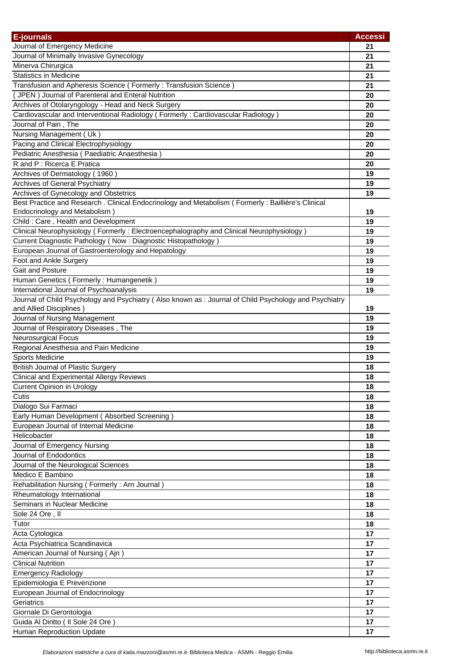| E-journals                                                                                            | <b>Accessi</b> |
|-------------------------------------------------------------------------------------------------------|----------------|
| Journal of Emergency Medicine                                                                         | 21             |
| Journal of Minimally Invasive Gynecology                                                              | 21             |
| Minerva Chirurgica                                                                                    | 21             |
| <b>Statistics in Medicine</b>                                                                         | 21             |
| Transfusion and Apheresis Science (Formerly: Transfusion Science)                                     | 21             |
| (JPEN) Journal of Parenteral and Enteral Nutrition                                                    | 20             |
| Archives of Otolaryngology - Head and Neck Surgery                                                    | 20             |
| Cardiovascular and Interventional Radiology (Formerly: Cardiovascular Radiology)                      | 20             |
| Journal of Pain, The                                                                                  | 20             |
| Nursing Management (Uk)                                                                               | 20             |
| Pacing and Clinical Electrophysiology                                                                 | 20             |
| Pediatric Anesthesia (Paediatric Anaesthesia)                                                         | 20             |
| R and P: Ricerca E Pratica                                                                            | 20             |
| Archives of Dermatology (1960)                                                                        | 19             |
| Archives of General Psychiatry                                                                        | 19             |
| Archives of Gynecology and Obstetrics                                                                 | 19             |
| Best Practice and Research . Clinical Endocrinology and Metabolism (Formerly: Baillière's Clinical    |                |
| Endocrinology and Metabolism)                                                                         | 19             |
| Child: Care, Health and Development                                                                   | 19             |
| Clinical Neurophysiology (Formerly: Electroencephalography and Clinical Neurophysiology)              | 19             |
| Current Diagnostic Pathology (Now: Diagnostic Histopathology)                                         | 19             |
| European Journal of Gastroenterology and Hepatology                                                   | 19             |
| Foot and Ankle Surgery                                                                                | 19             |
| Gait and Posture                                                                                      | 19             |
| Human Genetics (Formerly: Humangenetik)                                                               | 19             |
| International Journal of Psychoanalysis                                                               | 19             |
| Journal of Child Psychology and Psychiatry (Also known as: Journal of Child Psychology and Psychiatry |                |
| and Allied Disciplines)                                                                               | 19             |
| Journal of Nursing Management                                                                         | 19             |
| Journal of Respiratory Diseases, The                                                                  | 19             |
| Neurosurgical Focus                                                                                   | 19             |
| Regional Anesthesia and Pain Medicine                                                                 | 19             |
| Sports Medicine                                                                                       | 19             |
| <b>British Journal of Plastic Surgery</b>                                                             | 18             |
| <b>Clinical and Experimental Allergy Reviews</b>                                                      | 18             |
| Current Opinion in Urology<br>Cutis                                                                   | 18             |
| Dialogo Sui Farmaci                                                                                   | 18<br>18       |
| Early Human Development (Absorbed Screening)                                                          | 18             |
| European Journal of Internal Medicine                                                                 | 18             |
| Helicobacter                                                                                          | 18             |
| Journal of Emergency Nursing                                                                          | 18             |
| Journal of Endodontics                                                                                | 18             |
| Journal of the Neurological Sciences                                                                  | 18             |
| Medico E Bambino                                                                                      | 18             |
| Rehabilitation Nursing (Formerly: Arn Journal)                                                        | 18             |
| Rheumatology International                                                                            | 18             |
| Seminars in Nuclear Medicine                                                                          | 18             |
| Sole 24 Ore, II                                                                                       | 18             |
| Tutor                                                                                                 | 18             |
| Acta Cytologica                                                                                       | 17             |
| Acta Psychiatrica Scandinavica                                                                        | 17             |
| American Journal of Nursing (Ajn)                                                                     | 17             |
| <b>Clinical Nutrition</b>                                                                             | 17             |
| <b>Emergency Radiology</b>                                                                            | 17             |
| Epidemiologia E Prevenzione                                                                           | 17             |
| European Journal of Endocrinology                                                                     | 17             |
| Geriatrics                                                                                            | 17             |
| Giornale Di Gerontologia                                                                              | 17             |
| Guida Al Diritto ( Il Sole 24 Ore )                                                                   | 17             |
| Human Reproduction Update                                                                             | 17             |
|                                                                                                       |                |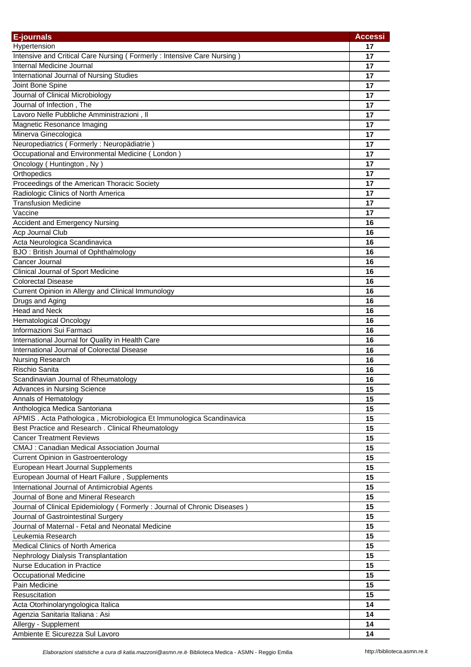| E-journals                                                               | <b>Accessi</b> |
|--------------------------------------------------------------------------|----------------|
| Hypertension                                                             | 17             |
| Intensive and Critical Care Nursing (Formerly: Intensive Care Nursing)   | 17             |
| Internal Medicine Journal                                                | 17             |
| International Journal of Nursing Studies                                 | 17             |
| Joint Bone Spine                                                         | 17             |
| Journal of Clinical Microbiology                                         | 17             |
| Journal of Infection, The                                                | 17             |
| Lavoro Nelle Pubbliche Amministrazioni, Il                               | 17             |
| Magnetic Resonance Imaging                                               | 17             |
| Minerva Ginecologica                                                     | 17             |
| Neuropediatrics (Formerly: Neuropädiatrie)                               | 17             |
| Occupational and Environmental Medicine (London)                         | 17             |
| Oncology (Huntington, Ny)                                                | 17             |
| Orthopedics                                                              | 17             |
| Proceedings of the American Thoracic Society                             | 17             |
| Radiologic Clinics of North America                                      | 17             |
| <b>Transfusion Medicine</b>                                              | 17             |
| Vaccine                                                                  | 17             |
| <b>Accident and Emergency Nursing</b>                                    | 16             |
|                                                                          |                |
| Acp Journal Club                                                         | 16             |
| Acta Neurologica Scandinavica                                            | 16             |
| BJO: British Journal of Ophthalmology                                    | 16             |
| Cancer Journal                                                           | 16             |
| Clinical Journal of Sport Medicine                                       | 16             |
| <b>Colorectal Disease</b>                                                | 16             |
| Current Opinion in Allergy and Clinical Immunology                       | 16             |
| Drugs and Aging                                                          | 16             |
| <b>Head and Neck</b>                                                     | 16             |
| <b>Hematological Oncology</b>                                            | 16             |
| Informazioni Sui Farmaci                                                 | 16             |
| International Journal for Quality in Health Care                         | 16             |
| International Journal of Colorectal Disease                              | 16             |
| Nursing Research                                                         | 16             |
| Rischio Sanita                                                           | 16             |
| Scandinavian Journal of Rheumatology                                     | 16             |
| Advances in Nursing Science                                              | 15             |
| Annals of Hematology                                                     | 15             |
| Anthologica Medica Santoriana                                            | 15             |
| APMIS. Acta Pathologica, Microbiologica Et Immunologica Scandinavica     | 15             |
| Best Practice and Research . Clinical Rheumatology                       | 15             |
| <b>Cancer Treatment Reviews</b>                                          | 15             |
| CMAJ : Canadian Medical Association Journal                              | 15             |
| <b>Current Opinion in Gastroenterology</b>                               | 15             |
| European Heart Journal Supplements                                       | 15             |
| European Journal of Heart Failure, Supplements                           | 15             |
| International Journal of Antimicrobial Agents                            | 15             |
| Journal of Bone and Mineral Research                                     | 15             |
| Journal of Clinical Epidemiology (Formerly: Journal of Chronic Diseases) | 15             |
| Journal of Gastrointestinal Surgery                                      | 15             |
| Journal of Maternal - Fetal and Neonatal Medicine                        | 15             |
| Leukemia Research                                                        | 15             |
| Medical Clinics of North America                                         | 15             |
| Nephrology Dialysis Transplantation                                      | 15             |
| <b>Nurse Education in Practice</b>                                       |                |
|                                                                          | 15             |
| <b>Occupational Medicine</b>                                             | 15             |
| Pain Medicine                                                            | 15             |
| Resuscitation                                                            | 15             |
| Acta Otorhinolaryngologica Italica                                       | 14             |
| Agenzia Sanitaria Italiana: Asi                                          | 14             |
| Allergy - Supplement                                                     | 14             |
| Ambiente E Sicurezza Sul Lavoro                                          | 14             |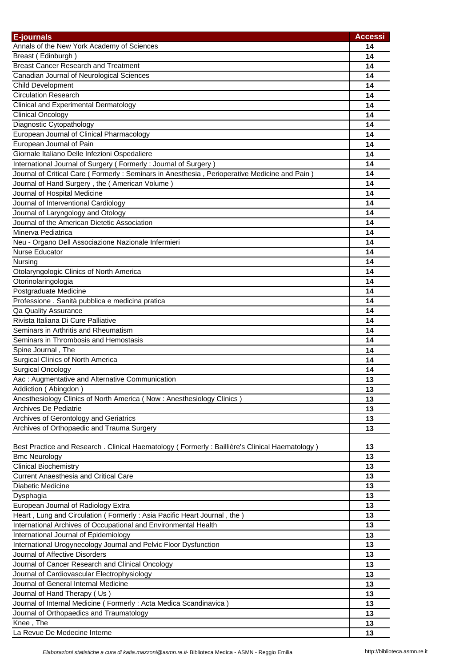| <b>E-journals</b>                                                                              | <b>Accessi</b> |
|------------------------------------------------------------------------------------------------|----------------|
| Annals of the New York Academy of Sciences                                                     | 14             |
| Breast (Edinburgh)                                                                             | 14             |
| <b>Breast Cancer Research and Treatment</b>                                                    | 14             |
| Canadian Journal of Neurological Sciences                                                      | 14             |
| Child Development                                                                              | 14             |
| <b>Circulation Research</b>                                                                    | 14             |
| Clinical and Experimental Dermatology                                                          | 14             |
| <b>Clinical Oncology</b>                                                                       | 14             |
| Diagnostic Cytopathology                                                                       | 14             |
| European Journal of Clinical Pharmacology                                                      | 14             |
| European Journal of Pain                                                                       | 14             |
| Giornale Italiano Delle Infezioni Ospedaliere                                                  | 14             |
| International Journal of Surgery (Formerly: Journal of Surgery)                                | 14             |
| Journal of Critical Care (Formerly: Seminars in Anesthesia, Perioperative Medicine and Pain)   | 14             |
| Journal of Hand Surgery, the (American Volume)                                                 | 14             |
| Journal of Hospital Medicine                                                                   | 14             |
| Journal of Interventional Cardiology                                                           | 14             |
| Journal of Laryngology and Otology                                                             | 14             |
| Journal of the American Dietetic Association                                                   | 14             |
| Minerva Pediatrica                                                                             | 14             |
| Neu - Organo Dell Associazione Nazionale Infermieri                                            | 14             |
| Nurse Educator                                                                                 | 14             |
| Nursing                                                                                        | 14             |
| Otolaryngologic Clinics of North America                                                       | 14             |
| Otorinolaringologia                                                                            | 14             |
| Postgraduate Medicine                                                                          | 14             |
| Professione . Sanità pubblica e medicina pratica                                               | 14             |
| Qa Quality Assurance                                                                           | 14             |
| Rivista Italiana Di Cure Palliative                                                            | 14             |
| Seminars in Arthritis and Rheumatism                                                           | 14             |
| Seminars in Thrombosis and Hemostasis                                                          | 14             |
| Spine Journal, The                                                                             | 14             |
| Surgical Clinics of North America                                                              | 14             |
| <b>Surgical Oncology</b>                                                                       | 14             |
| Aac: Augmentative and Alternative Communication                                                | 13             |
| Addiction (Abingdon)                                                                           | 13             |
| Anesthesiology Clinics of North America (Now: Anesthesiology Clinics)                          | 13             |
| Archives De Pediatrie                                                                          | 13             |
| Archives of Gerontology and Geriatrics                                                         | 13             |
| Archives of Orthopaedic and Trauma Surgery                                                     | 13             |
|                                                                                                |                |
| Best Practice and Research . Clinical Haematology (Formerly: Baillière's Clinical Haematology) | 13             |
| <b>Bmc Neurology</b>                                                                           | 13             |
| <b>Clinical Biochemistry</b>                                                                   | 13             |
| <b>Current Anaesthesia and Critical Care</b>                                                   | 13             |
| Diabetic Medicine                                                                              | 13             |
| Dysphagia                                                                                      | 13             |
| European Journal of Radiology Extra                                                            | 13             |
| Heart, Lung and Circulation (Formerly: Asia Pacific Heart Journal, the)                        | 13             |
| International Archives of Occupational and Environmental Health                                | 13             |
| International Journal of Epidemiology                                                          | 13             |
| International Urogynecology Journal and Pelvic Floor Dysfunction                               | 13             |
| Journal of Affective Disorders                                                                 | 13             |
| Journal of Cancer Research and Clinical Oncology                                               | 13             |
| Journal of Cardiovascular Electrophysiology                                                    | 13             |
| Journal of General Internal Medicine                                                           | 13             |
| Journal of Hand Therapy (Us)                                                                   | 13             |
| Journal of Internal Medicine (Formerly: Acta Medica Scandinavica)                              | 13             |
| Journal of Orthopaedics and Traumatology                                                       | 13             |
| Knee, The                                                                                      | 13             |
| La Revue De Medecine Interne                                                                   | 13             |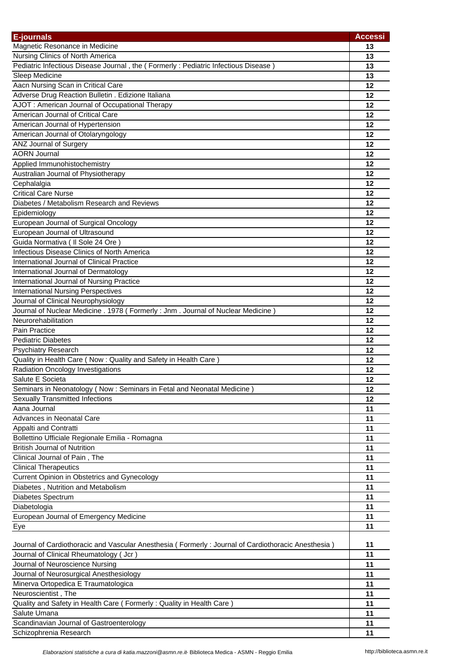| <b>E-journals</b>                                                                                  | <b>Accessi</b> |
|----------------------------------------------------------------------------------------------------|----------------|
| Magnetic Resonance in Medicine                                                                     | 13             |
| Nursing Clinics of North America                                                                   | 13             |
| Pediatric Infectious Disease Journal, the (Formerly: Pediatric Infectious Disease)                 | 13             |
| Sleep Medicine                                                                                     | 13             |
| Aacn Nursing Scan in Critical Care                                                                 | 12             |
| Adverse Drug Reaction Bulletin . Edizione Italiana                                                 | 12             |
| AJOT: American Journal of Occupational Therapy                                                     | 12             |
| American Journal of Critical Care                                                                  | 12             |
| American Journal of Hypertension                                                                   | 12             |
| American Journal of Otolaryngology                                                                 | 12             |
| ANZ Journal of Surgery                                                                             | 12             |
| <b>AORN Journal</b>                                                                                | 12             |
| Applied Immunohistochemistry                                                                       | 12             |
| Australian Journal of Physiotherapy                                                                | 12             |
| Cephalalgia                                                                                        | 12             |
| <b>Critical Care Nurse</b>                                                                         | 12             |
| Diabetes / Metabolism Research and Reviews                                                         | 12             |
| Epidemiology                                                                                       | 12             |
| European Journal of Surgical Oncology                                                              | 12             |
| European Journal of Ultrasound                                                                     | 12             |
| Guida Normativa ( Il Sole 24 Ore )                                                                 | 12             |
| Infectious Disease Clinics of North America                                                        | 12             |
| International Journal of Clinical Practice                                                         | 12             |
| International Journal of Dermatology                                                               | 12             |
| International Journal of Nursing Practice                                                          | 12             |
| <b>International Nursing Perspectives</b>                                                          | 12             |
| Journal of Clinical Neurophysiology                                                                | 12             |
| Journal of Nuclear Medicine . 1978 (Formerly: Jnm. Journal of Nuclear Medicine)                    | 12             |
| Neurorehabilitation                                                                                | 12             |
| Pain Practice                                                                                      | 12             |
| <b>Pediatric Diabetes</b>                                                                          | 12             |
|                                                                                                    | 12             |
| Psychiatry Research<br>Quality in Health Care (Now: Quality and Safety in Health Care)             | 12             |
| <b>Radiation Oncology Investigations</b>                                                           | 12             |
| Salute E Societa                                                                                   | 12             |
| Seminars in Neonatology (Now : Seminars in Fetal and Neonatal Medicine)                            | 12             |
| <b>Sexually Transmitted Infections</b>                                                             | 12             |
| Aana Journal                                                                                       | 11             |
| Advances in Neonatal Care                                                                          | 11             |
|                                                                                                    | 11             |
| Appalti and Contratti<br>Bollettino Ufficiale Regionale Emilia - Romagna                           | 11             |
| <b>British Journal of Nutrition</b>                                                                | 11             |
| Clinical Journal of Pain, The                                                                      | 11             |
| <b>Clinical Therapeutics</b>                                                                       | 11             |
| Current Opinion in Obstetrics and Gynecology                                                       |                |
|                                                                                                    | 11             |
| Diabetes, Nutrition and Metabolism                                                                 | 11             |
| Diabetes Spectrum                                                                                  | 11             |
| Diabetologia                                                                                       | 11             |
| European Journal of Emergency Medicine                                                             | 11             |
| Eye                                                                                                | 11             |
| Journal of Cardiothoracic and Vascular Anesthesia (Formerly: Journal of Cardiothoracic Anesthesia) | 11             |
| Journal of Clinical Rheumatology (Jcr)                                                             | 11             |
| Journal of Neuroscience Nursing                                                                    | 11             |
| Journal of Neurosurgical Anesthesiology                                                            | 11             |
| Minerva Ortopedica E Traumatologica                                                                | 11             |
| Neuroscientist, The                                                                                | 11             |
| Quality and Safety in Health Care (Formerly: Quality in Health Care)                               | 11             |
| Salute Umana                                                                                       | 11             |
| Scandinavian Journal of Gastroenterology                                                           | 11             |
| Schizophrenia Research                                                                             | 11             |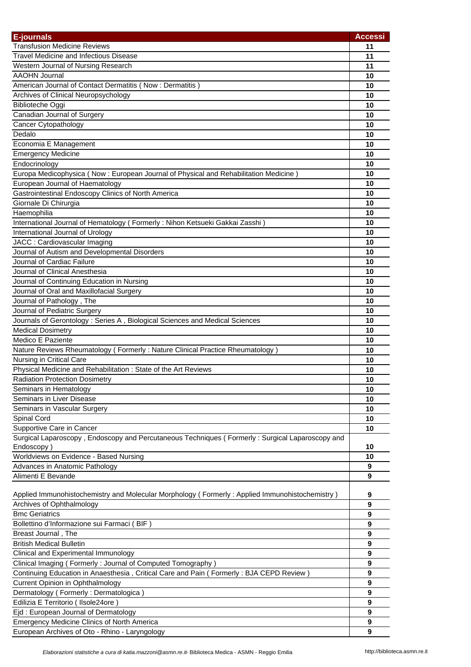| E-journals                                                                                      | <b>Accessi</b>   |
|-------------------------------------------------------------------------------------------------|------------------|
| <b>Transfusion Medicine Reviews</b>                                                             | 11               |
| <b>Travel Medicine and Infectious Disease</b>                                                   | 11               |
| Western Journal of Nursing Research                                                             | 11               |
| <b>AAOHN Journal</b>                                                                            | 10               |
| American Journal of Contact Dermatitis (Now: Dermatitis)                                        | 10               |
| Archives of Clinical Neuropsychology                                                            | 10               |
| <b>Biblioteche Oggi</b>                                                                         | 10               |
| Canadian Journal of Surgery                                                                     | 10               |
| Cancer Cytopathology                                                                            | 10               |
| Dedalo                                                                                          | 10               |
| Economia E Management                                                                           | 10               |
| <b>Emergency Medicine</b>                                                                       | 10               |
| Endocrinology                                                                                   | 10               |
| Europa Medicophysica (Now : European Journal of Physical and Rehabilitation Medicine)           | 10               |
| European Journal of Haematology                                                                 | 10               |
| Gastrointestinal Endoscopy Clinics of North America                                             | 10               |
| Giornale Di Chirurgia                                                                           | 10               |
| Haemophilia                                                                                     | 10               |
| International Journal of Hematology (Formerly: Nihon Ketsueki Gakkai Zasshi)                    | 10               |
| International Journal of Urology                                                                | 10               |
| JACC: Cardiovascular Imaging                                                                    | 10               |
| Journal of Autism and Developmental Disorders                                                   | 10               |
| Journal of Cardiac Failure                                                                      | 10               |
| Journal of Clinical Anesthesia                                                                  | 10               |
| Journal of Continuing Education in Nursing                                                      | 10               |
| Journal of Oral and Maxillofacial Surgery                                                       | 10               |
| Journal of Pathology, The                                                                       | 10               |
| Journal of Pediatric Surgery                                                                    | 10               |
|                                                                                                 | 10               |
| Journals of Gerontology: Series A, Biological Sciences and Medical Sciences                     |                  |
| <b>Medical Dosimetry</b><br>Medico E Paziente                                                   | 10               |
|                                                                                                 | 10               |
| Nature Reviews Rheumatology (Formerly: Nature Clinical Practice Rheumatology)                   | 10               |
| Nursing in Critical Care                                                                        | 10               |
| Physical Medicine and Rehabilitation : State of the Art Reviews                                 | 10               |
| <b>Radiation Protection Dosimetry</b>                                                           | 10               |
| Seminars in Hematology                                                                          | 10               |
| Seminars in Liver Disease                                                                       | 10               |
| Seminars in Vascular Surgery                                                                    | 10               |
| Spinal Cord                                                                                     | 10               |
| Supportive Care in Cancer                                                                       | 10               |
| Surgical Laparoscopy, Endoscopy and Percutaneous Techniques (Formerly: Surgical Laparoscopy and |                  |
| Endoscopy)                                                                                      | 10               |
| Worldviews on Evidence - Based Nursing                                                          | 10               |
| Advances in Anatomic Pathology                                                                  | 9                |
| Alimenti E Bevande                                                                              | 9                |
| Applied Immunohistochemistry and Molecular Morphology (Formerly: Applied Immunohistochemistry)  | 9                |
| Archives of Ophthalmology                                                                       | $\boldsymbol{9}$ |
| <b>Bmc Geriatrics</b>                                                                           | 9                |
| Bollettino d'Informazione sui Farmaci (BIF)                                                     | 9                |
| Breast Journal, The                                                                             | 9                |
|                                                                                                 |                  |
| <b>British Medical Bulletin</b>                                                                 | 9<br>9           |
| Clinical and Experimental Immunology                                                            |                  |
| Clinical Imaging (Formerly: Journal of Computed Tomography)                                     | 9                |
| Continuing Education in Anaesthesia, Critical Care and Pain (Formerly: BJA CEPD Review)         | 9                |
| Current Opinion in Ophthalmology                                                                | 9                |
| Dermatology (Formerly: Dermatologica)                                                           | 9                |
| Edilizia E Territorio (Ilsole24ore)                                                             | 9                |
| Ejd: European Journal of Dermatology                                                            | 9                |
| Emergency Medicine Clinics of North America                                                     | 9                |
| European Archives of Oto - Rhino - Laryngology                                                  | 9                |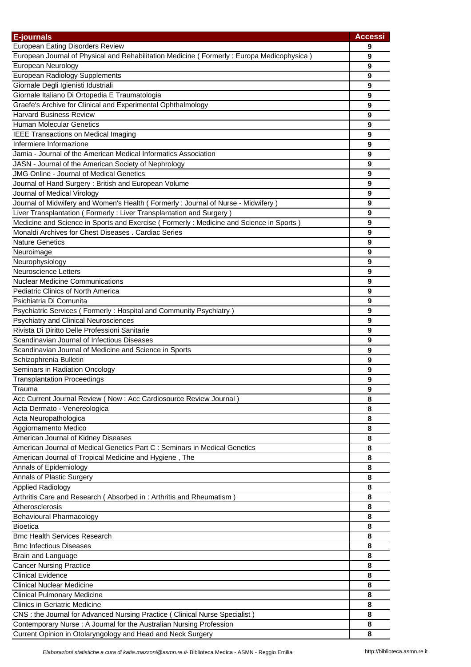| E-journals                                                                                | <b>Accessi</b> |
|-------------------------------------------------------------------------------------------|----------------|
| <b>European Eating Disorders Review</b>                                                   | 9              |
| European Journal of Physical and Rehabilitation Medicine (Formerly: Europa Medicophysica) | 9              |
| European Neurology                                                                        | 9              |
| <b>European Radiology Supplements</b>                                                     | 9              |
| Giornale Degli Igienisti Idustriali                                                       | 9              |
| Giornale Italiano Di Ortopedia E Traumatologia                                            | 9              |
| Graefe's Archive for Clinical and Experimental Ophthalmology                              | 9              |
| <b>Harvard Business Review</b>                                                            | 9              |
| <b>Human Molecular Genetics</b>                                                           | 9              |
| <b>IEEE Transactions on Medical Imaging</b>                                               | 9              |
| Infermiere Informazione                                                                   | 9              |
| Jamia - Journal of the American Medical Informatics Association                           | 9              |
| JASN - Journal of the American Society of Nephrology                                      | 9              |
| <b>JMG Online - Journal of Medical Genetics</b>                                           | 9              |
| Journal of Hand Surgery: British and European Volume                                      | 9              |
| Journal of Medical Virology                                                               | 9              |
| Journal of Midwifery and Women's Health (Formerly: Journal of Nurse - Midwifery)          | 9              |
| Liver Transplantation (Formerly: Liver Transplantation and Surgery)                       | 9              |
| Medicine and Science in Sports and Exercise (Formerly: Medicine and Science in Sports)    | 9              |
| Monaldi Archives for Chest Diseases . Cardiac Series                                      | 9              |
| <b>Nature Genetics</b>                                                                    | 9              |
| Neuroimage                                                                                | 9              |
| Neurophysiology                                                                           | 9              |
| <b>Neuroscience Letters</b>                                                               | 9              |
| <b>Nuclear Medicine Communications</b>                                                    | 9              |
| Pediatric Clinics of North America                                                        | 9              |
| Psichiatria Di Comunita                                                                   | 9              |
| Psychiatric Services (Formerly: Hospital and Community Psychiatry)                        | 9              |
| <b>Psychiatry and Clinical Neurosciences</b>                                              | 9              |
| Rivista Di Diritto Delle Professioni Sanitarie                                            | 9              |
| Scandinavian Journal of Infectious Diseases                                               | 9              |
| Scandinavian Journal of Medicine and Science in Sports                                    | 9              |
|                                                                                           |                |
| Schizophrenia Bulletin                                                                    | 9              |
| Seminars in Radiation Oncology                                                            | 9              |
| <b>Transplantation Proceedings</b>                                                        | 9              |
| Trauma                                                                                    | 9              |
| Acc Current Journal Review (Now : Acc Cardiosource Review Journal)                        | 8              |
| Acta Dermato - Venereologica                                                              | 8              |
| Acta Neuropathologica                                                                     | 8              |
| Aggiornamento Medico                                                                      | 8              |
| American Journal of Kidney Diseases                                                       | 8              |
| American Journal of Medical Genetics Part C : Seminars in Medical Genetics                | 8              |
| American Journal of Tropical Medicine and Hygiene, The                                    | 8              |
| Annals of Epidemiology                                                                    | 8              |
| Annals of Plastic Surgery                                                                 | 8              |
| <b>Applied Radiology</b>                                                                  | 8              |
| Arthritis Care and Research (Absorbed in: Arthritis and Rheumatism)                       | 8              |
| Atherosclerosis                                                                           | 8              |
| <b>Behavioural Pharmacology</b>                                                           | 8              |
| <b>Bioetica</b>                                                                           | 8              |
| <b>Bmc Health Services Research</b>                                                       | 8              |
| <b>Bmc Infectious Diseases</b>                                                            | 8              |
| Brain and Language                                                                        | 8              |
| <b>Cancer Nursing Practice</b>                                                            | 8              |
| <b>Clinical Evidence</b>                                                                  | 8              |
| <b>Clinical Nuclear Medicine</b>                                                          | 8              |
| <b>Clinical Pulmonary Medicine</b>                                                        | 8              |
| <b>Clinics in Geriatric Medicine</b>                                                      | 8              |
| CNS : the Journal for Advanced Nursing Practice ( Clinical Nurse Specialist )             | 8              |
| Contemporary Nurse: A Journal for the Australian Nursing Profession                       | 8              |
| Current Opinion in Otolaryngology and Head and Neck Surgery                               | 8              |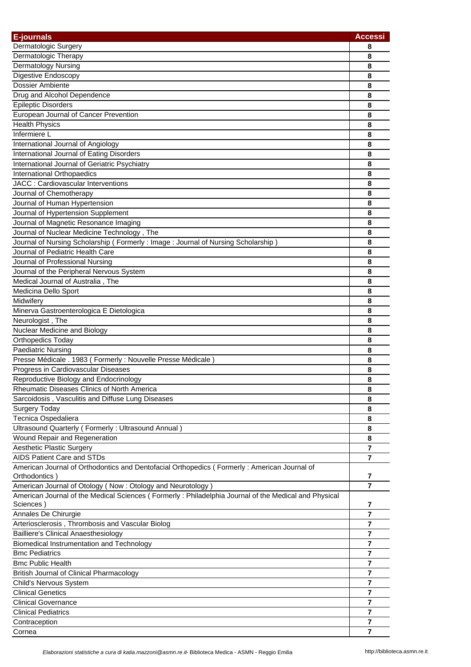| <b>E-journals</b>                                                                                    | <b>Accessi</b>          |
|------------------------------------------------------------------------------------------------------|-------------------------|
| Dermatologic Surgery                                                                                 | 8                       |
| Dermatologic Therapy                                                                                 | 8                       |
| Dermatology Nursing                                                                                  | 8                       |
| Digestive Endoscopy                                                                                  | 8                       |
| Dossier Ambiente                                                                                     | 8                       |
| Drug and Alcohol Dependence                                                                          | 8                       |
| <b>Epileptic Disorders</b>                                                                           | 8                       |
| European Journal of Cancer Prevention                                                                | 8                       |
| <b>Health Physics</b>                                                                                | 8                       |
| Infermiere L                                                                                         | 8                       |
| International Journal of Angiology                                                                   | 8                       |
| International Journal of Eating Disorders                                                            | 8                       |
| International Journal of Geriatric Psychiatry                                                        | 8                       |
| International Orthopaedics                                                                           | 8                       |
| JACC : Cardiovascular Interventions                                                                  | 8                       |
| Journal of Chemotherapy                                                                              | 8                       |
| Journal of Human Hypertension                                                                        | 8                       |
| Journal of Hypertension Supplement                                                                   | 8                       |
| Journal of Magnetic Resonance Imaging                                                                | 8                       |
| Journal of Nuclear Medicine Technology, The                                                          | 8                       |
| Journal of Nursing Scholarship (Formerly: Image: Journal of Nursing Scholarship)                     | 8                       |
| Journal of Pediatric Health Care                                                                     | 8                       |
| Journal of Professional Nursing                                                                      | 8                       |
| Journal of the Peripheral Nervous System                                                             | 8                       |
| Medical Journal of Australia, The                                                                    | 8                       |
| Medicina Dello Sport                                                                                 | 8                       |
| Midwifery                                                                                            | 8                       |
| Minerva Gastroenterologica E Dietologica                                                             | 8                       |
| Neurologist, The                                                                                     | 8                       |
| Nuclear Medicine and Biology                                                                         | 8                       |
| <b>Orthopedics Today</b>                                                                             | 8                       |
| <b>Paediatric Nursing</b>                                                                            | 8                       |
| Presse Médicale . 1983 (Formerly : Nouvelle Presse Médicale)                                         | 8                       |
| Progress in Cardiovascular Diseases                                                                  | 8                       |
| Reproductive Biology and Endocrinology                                                               | 8                       |
| Rheumatic Diseases Clinics of North America                                                          | 8                       |
| Sarcoidosis, Vasculitis and Diffuse Lung Diseases                                                    | 8                       |
| <b>Surgery Today</b>                                                                                 | 8                       |
| Tecnica Ospedaliera                                                                                  | 8                       |
| Ultrasound Quarterly (Formerly: Ultrasound Annual)                                                   | 8                       |
| Wound Repair and Regeneration                                                                        | 8                       |
| <b>Aesthetic Plastic Surgery</b>                                                                     | $\overline{7}$          |
| <b>AIDS Patient Care and STDs</b>                                                                    | 7                       |
| American Journal of Orthodontics and Dentofacial Orthopedics (Formerly: American Journal of          |                         |
| Orthodontics)                                                                                        | $\overline{\mathbf{r}}$ |
| American Journal of Otology (Now: Otology and Neurotology)                                           | $\overline{7}$          |
| American Journal of the Medical Sciences (Formerly: Philadelphia Journal of the Medical and Physical |                         |
| Sciences)                                                                                            | 7                       |
| Annales De Chirurgie                                                                                 | $\overline{7}$          |
| Arteriosclerosis, Thrombosis and Vascular Biolog                                                     | $\overline{7}$          |
| <b>Bailliere's Clinical Anaesthesiology</b>                                                          | 7                       |
| Biomedical Instrumentation and Technology                                                            | 7                       |
| <b>Bmc Pediatrics</b>                                                                                | 7                       |
| <b>Bmc Public Health</b>                                                                             | 7                       |
| <b>British Journal of Clinical Pharmacology</b>                                                      | 7                       |
| Child's Nervous System                                                                               | 7                       |
| <b>Clinical Genetics</b>                                                                             | $\overline{7}$          |
| <b>Clinical Governance</b>                                                                           | $\overline{7}$          |
| <b>Clinical Pediatrics</b>                                                                           | $\overline{7}$          |
| Contraception                                                                                        | $\overline{7}$          |
| Cornea                                                                                               | $\overline{7}$          |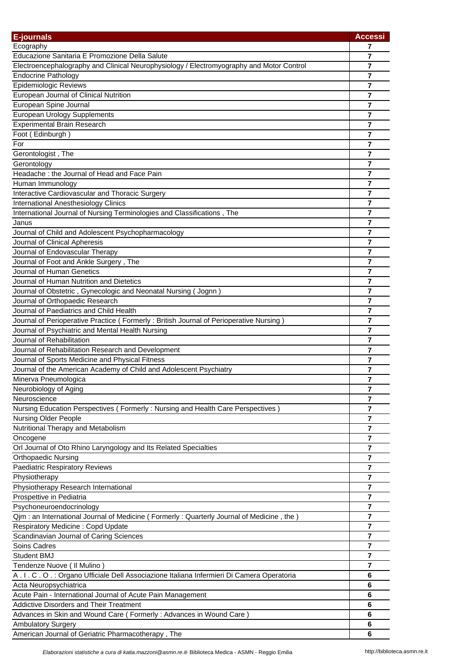| <b>E-journals</b>                                                                             | <b>Accessi</b>          |
|-----------------------------------------------------------------------------------------------|-------------------------|
| Ecography                                                                                     | 7                       |
| Educazione Sanitaria E Promozione Della Salute                                                | $\overline{\mathbf{r}}$ |
| Electroencephalography and Clinical Neurophysiology / Electromyography and Motor Control      | 7                       |
| <b>Endocrine Pathology</b>                                                                    | 7                       |
| Epidemiologic Reviews                                                                         | 7                       |
| European Journal of Clinical Nutrition                                                        | 7                       |
| European Spine Journal                                                                        | 7                       |
| European Urology Supplements                                                                  | 7                       |
| <b>Experimental Brain Research</b>                                                            | $\overline{7}$          |
| Foot (Edinburgh)                                                                              | 7                       |
| For                                                                                           | 7                       |
| Gerontologist, The                                                                            | 7                       |
| Gerontology                                                                                   | 7                       |
| Headache: the Journal of Head and Face Pain                                                   | 7                       |
| Human Immunology                                                                              | 7                       |
| Interactive Cardiovascular and Thoracic Surgery                                               | 7                       |
| <b>International Anesthesiology Clinics</b>                                                   | $\overline{\mathbf{r}}$ |
| International Journal of Nursing Terminologies and Classifications, The                       | 7                       |
| Janus                                                                                         | 7                       |
| Journal of Child and Adolescent Psychopharmacology                                            | 7                       |
| Journal of Clinical Apheresis                                                                 | 7                       |
| Journal of Endovascular Therapy                                                               | 7                       |
| Journal of Foot and Ankle Surgery, The                                                        | 7                       |
| Journal of Human Genetics                                                                     | 7                       |
| Journal of Human Nutrition and Dietetics                                                      | $\overline{7}$          |
| Journal of Obstetric, Gynecologic and Neonatal Nursing (Jognn)                                | 7                       |
| Journal of Orthopaedic Research                                                               | 7                       |
| Journal of Paediatrics and Child Health                                                       | 7                       |
| Journal of Perioperative Practice (Formerly: British Journal of Perioperative Nursing)        | 7                       |
| Journal of Psychiatric and Mental Health Nursing                                              | 7                       |
| Journal of Rehabilitation                                                                     | 7                       |
|                                                                                               | 7                       |
| Journal of Rehabilitation Research and Development                                            | $\overline{7}$          |
| Journal of Sports Medicine and Physical Fitness                                               |                         |
| Journal of the American Academy of Child and Adolescent Psychiatry                            | 7                       |
| Minerva Pneumologica                                                                          | 7                       |
| Neurobiology of Aging                                                                         | 7                       |
| Neuroscience                                                                                  | 7                       |
| Nursing Education Perspectives (Formerly: Nursing and Health Care Perspectives)               | $\overline{7}$          |
| Nursing Older People                                                                          | $\overline{7}$          |
| Nutritional Therapy and Metabolism                                                            | $\overline{7}$          |
| Oncogene                                                                                      | $\overline{7}$          |
| Orl Journal of Oto Rhino Laryngology and Its Related Specialties                              | $\overline{7}$          |
| <b>Orthopaedic Nursing</b>                                                                    | $\overline{7}$          |
| <b>Paediatric Respiratory Reviews</b>                                                         | $\overline{7}$          |
| Physiotherapy                                                                                 | 7                       |
| Physiotherapy Research International                                                          | 7                       |
| Prospettive in Pediatria                                                                      | 7                       |
| Psychoneuroendocrinology                                                                      | 7                       |
| Qjm: an International Journal of Medicine (Formerly: Quarterly Journal of Medicine, the)      | 7                       |
| <b>Respiratory Medicine: Copd Update</b>                                                      | $\overline{\mathbf{r}}$ |
| Scandinavian Journal of Caring Sciences                                                       | 7                       |
| <b>Soins Cadres</b>                                                                           | $\overline{7}$          |
| Student BMJ                                                                                   | 7                       |
| Tendenze Nuove ( Il Mulino )                                                                  | $\overline{7}$          |
| A . I . C . O . : Organo Ufficiale Dell Associazione Italiana Infermieri Di Camera Operatoria | 6                       |
| Acta Neuropsychiatrica                                                                        | 6                       |
| Acute Pain - International Journal of Acute Pain Management                                   | 6                       |
| <b>Addictive Disorders and Their Treatment</b>                                                | 6                       |
| Advances in Skin and Wound Care (Formerly: Advances in Wound Care)                            | 6                       |
| <b>Ambulatory Surgery</b>                                                                     | 6                       |
| American Journal of Geriatric Pharmacotherapy, The                                            | 6                       |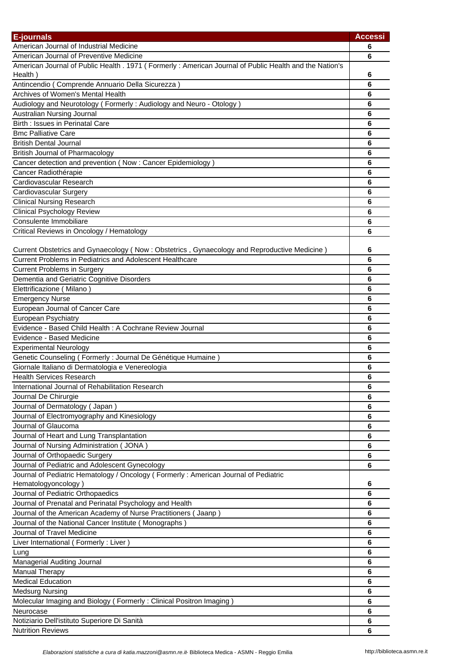| E-journals                                                                                              | <b>Accessi</b> |
|---------------------------------------------------------------------------------------------------------|----------------|
| American Journal of Industrial Medicine                                                                 | 6              |
| American Journal of Preventive Medicine                                                                 | 6              |
| American Journal of Public Health . 1971 (Formerly : American Journal of Public Health and the Nation's |                |
| Health)                                                                                                 | 6              |
| Antincendio (Comprende Annuario Della Sicurezza)                                                        | 6              |
| Archives of Women's Mental Health                                                                       | 6              |
| Audiology and Neurotology (Formerly: Audiology and Neuro - Otology)                                     | 6              |
| Australian Nursing Journal                                                                              | 6              |
| Birth: Issues in Perinatal Care                                                                         | 6              |
| <b>Bmc Palliative Care</b>                                                                              | 6              |
| <b>British Dental Journal</b>                                                                           | 6              |
| <b>British Journal of Pharmacology</b>                                                                  | 6              |
| Cancer detection and prevention (Now: Cancer Epidemiology)                                              | 6              |
| Cancer Radiothérapie                                                                                    | 6              |
| Cardiovascular Research                                                                                 | 6              |
| Cardiovascular Surgery                                                                                  | 6              |
| <b>Clinical Nursing Research</b>                                                                        | 6              |
| <b>Clinical Psychology Review</b>                                                                       | 6              |
| Consulente Immobiliare                                                                                  | 6              |
| Critical Reviews in Oncology / Hematology                                                               | 6              |
|                                                                                                         |                |
| Current Obstetrics and Gynaecology (Now: Obstetrics, Gynaecology and Reproductive Medicine)             | 6              |
| Current Problems in Pediatrics and Adolescent Healthcare                                                | 6              |
| <b>Current Problems in Surgery</b>                                                                      | 6              |
| Dementia and Geriatric Cognitive Disorders                                                              | 6              |
| Elettrificazione (Milano)                                                                               | 6              |
| <b>Emergency Nurse</b>                                                                                  | 6              |
| European Journal of Cancer Care                                                                         | 6              |
| European Psychiatry                                                                                     | 6              |
| Evidence - Based Child Health : A Cochrane Review Journal                                               | 6              |
| Evidence - Based Medicine                                                                               | 6              |
| <b>Experimental Neurology</b>                                                                           | 6              |
| Genetic Counseling (Formerly : Journal De Génétique Humaine)                                            | 6              |
| Giornale Italiano di Dermatologia e Venereologia                                                        | 6              |
| <b>Health Services Research</b>                                                                         | 6              |
| International Journal of Rehabilitation Research                                                        | 6              |
| Journal De Chirurgie                                                                                    | 6              |
| Journal of Dermatology (Japan)                                                                          | 6              |
| Journal of Electromyography and Kinesiology                                                             | 6              |
| Journal of Glaucoma                                                                                     | 6              |
| Journal of Heart and Lung Transplantation                                                               | 6              |
| Journal of Nursing Administration (JONA)                                                                | 6              |
| Journal of Orthopaedic Surgery                                                                          | 6              |
| Journal of Pediatric and Adolescent Gynecology                                                          | 6              |
| Journal of Pediatric Hematology / Oncology (Formerly: American Journal of Pediatric                     |                |
| Hematologyoncology)                                                                                     | 6              |
| Journal of Pediatric Orthopaedics                                                                       | 6              |
| Journal of Prenatal and Perinatal Psychology and Health                                                 | 6              |
| Journal of the American Academy of Nurse Practitioners (Jaanp)                                          | 6              |
| Journal of the National Cancer Institute (Monographs)                                                   | 6              |
| Journal of Travel Medicine                                                                              | 6              |
| Liver International (Formerly: Liver)                                                                   | 6              |
| Lung                                                                                                    | 6              |
| Managerial Auditing Journal                                                                             | 6              |
| <b>Manual Therapy</b>                                                                                   | 6              |
| <b>Medical Education</b>                                                                                | 6              |
| <b>Medsurg Nursing</b>                                                                                  | 6              |
| Molecular Imaging and Biology (Formerly: Clinical Positron Imaging)                                     | 6              |
| Neurocase                                                                                               | 6              |
| Notiziario Dell'istituto Superiore Di Sanità                                                            | 6              |
| <b>Nutrition Reviews</b>                                                                                | 6              |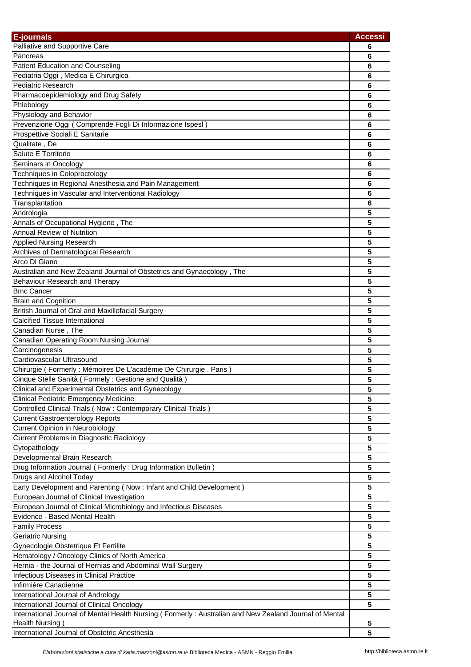| E-journals                                                                                             | <b>Accessi</b> |
|--------------------------------------------------------------------------------------------------------|----------------|
| Palliative and Supportive Care                                                                         | 6              |
| Pancreas                                                                                               | 6              |
| <b>Patient Education and Counseling</b>                                                                | 6              |
| Pediatria Oggi, Medica E Chirurgica                                                                    | 6              |
| <b>Pediatric Research</b>                                                                              | 6              |
| Pharmacoepidemiology and Drug Safety                                                                   | 6              |
| Phlebology                                                                                             | 6              |
| Physiology and Behavior                                                                                | 6              |
| Prevenzione Oggi (Comprende Fogli Di Informazione Ispesl)                                              | 6              |
| Prospettive Sociali E Sanitarie                                                                        | 6              |
| Qualitate, De                                                                                          | 6              |
| Salute E Territorio                                                                                    | 6              |
| Seminars in Oncology                                                                                   | 6              |
| Techniques in Coloproctology                                                                           | 6              |
| Techniques in Regional Anesthesia and Pain Management                                                  | 6              |
| Techniques in Vascular and Interventional Radiology                                                    | 6              |
| Transplantation                                                                                        | 6              |
| Andrologia                                                                                             | 5              |
| Annals of Occupational Hygiene, The                                                                    | 5              |
| <b>Annual Review of Nutrition</b>                                                                      | 5              |
| Applied Nursing Research                                                                               | 5              |
| Archives of Dermatological Research                                                                    | 5              |
| Arco Di Giano                                                                                          | 5              |
| Australian and New Zealand Journal of Obstetrics and Gynaecology, The                                  | 5              |
| Behaviour Research and Therapy                                                                         | 5              |
| <b>Bmc Cancer</b>                                                                                      | 5              |
| <b>Brain and Cognition</b>                                                                             | 5              |
| British Journal of Oral and Maxillofacial Surgery                                                      | 5              |
| <b>Calcified Tissue International</b>                                                                  | 5              |
| Canadian Nurse, The                                                                                    | 5              |
| Canadian Operating Room Nursing Journal                                                                | 5              |
| Carcinogenesis                                                                                         | 5              |
| Cardiovascular Ultrasound                                                                              | 5              |
| Chirurgie (Formerly : Mémoires De L'académie De Chirurgie . Paris)                                     | 5              |
| Cinque Stelle Sanità (Formely: Gestione and Qualità)                                                   | 5              |
| Clinical and Experimental Obstetrics and Gynecology                                                    | 5              |
| <b>Clinical Pediatric Emergency Medicine</b>                                                           | 5              |
| Controlled Clinical Trials (Now: Contemporary Clinical Trials)                                         | 5              |
| <b>Current Gastroenterology Reports</b>                                                                | 5              |
| <b>Current Opinion in Neurobiology</b>                                                                 | 5              |
| Current Problems in Diagnostic Radiology                                                               | 5              |
| Cytopathology                                                                                          | 5              |
| Developmental Brain Research                                                                           | 5              |
| Drug Information Journal (Formerly: Drug Information Bulletin)                                         | 5              |
| Drugs and Alcohol Today                                                                                | 5              |
| Early Development and Parenting (Now : Infant and Child Development)                                   | 5              |
| European Journal of Clinical Investigation                                                             | 5              |
| European Journal of Clinical Microbiology and Infectious Diseases                                      | 5              |
| Evidence - Based Mental Health                                                                         | 5              |
| <b>Family Process</b>                                                                                  | 5              |
| <b>Geriatric Nursing</b>                                                                               | 5              |
| Gynecologie Obstetrique Et Fertilite                                                                   | 5              |
| Hematology / Oncology Clinics of North America                                                         | 5              |
| Hernia - the Journal of Hernias and Abdominal Wall Surgery                                             | 5              |
| Infectious Diseases in Clinical Practice                                                               | 5              |
| Infirmière Canadienne                                                                                  | 5              |
| International Journal of Andrology                                                                     | 5              |
| International Journal of Clinical Oncology                                                             | 5              |
| International Journal of Mental Health Nursing (Formerly: Australian and New Zealand Journal of Mental |                |
| Health Nursing)                                                                                        | 5              |
| International Journal of Obstetric Anesthesia                                                          | 5              |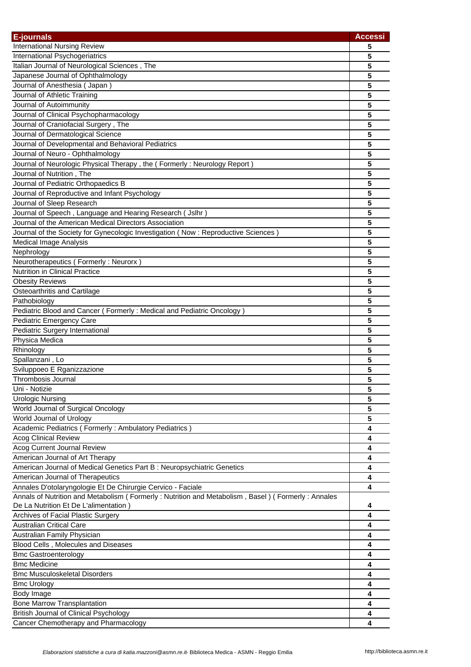| E-journals                                                                                        | <b>Accessi</b> |
|---------------------------------------------------------------------------------------------------|----------------|
| <b>International Nursing Review</b>                                                               | 5              |
| International Psychogeriatrics                                                                    | 5              |
| Italian Journal of Neurological Sciences, The                                                     | 5              |
| Japanese Journal of Ophthalmology                                                                 | 5              |
| Journal of Anesthesia (Japan)                                                                     | 5              |
| Journal of Athletic Training                                                                      | 5              |
| Journal of Autoimmunity                                                                           | 5              |
| Journal of Clinical Psychopharmacology                                                            | 5              |
| Journal of Craniofacial Surgery, The                                                              | 5              |
| Journal of Dermatological Science                                                                 | 5              |
| Journal of Developmental and Behavioral Pediatrics                                                | 5              |
| Journal of Neuro - Ophthalmology                                                                  | 5              |
| Journal of Neurologic Physical Therapy, the (Formerly: Neurology Report)                          | 5              |
| Journal of Nutrition, The                                                                         | 5              |
| Journal of Pediatric Orthopaedics B                                                               | 5              |
| Journal of Reproductive and Infant Psychology                                                     | 5              |
| Journal of Sleep Research                                                                         | 5              |
| Journal of Speech, Language and Hearing Research ( Jslhr )                                        | 5              |
| Journal of the American Medical Directors Association                                             | 5              |
| Journal of the Society for Gynecologic Investigation (Now : Reproductive Sciences)                | 5              |
| Medical Image Analysis                                                                            | 5              |
| Nephrology                                                                                        | 5              |
| Neurotherapeutics (Formerly: Neurorx)                                                             | 5              |
| Nutrition in Clinical Practice                                                                    | 5              |
| <b>Obesity Reviews</b>                                                                            | 5              |
|                                                                                                   |                |
| Osteoarthritis and Cartilage                                                                      | 5<br>5         |
| Pathobiology                                                                                      |                |
| Pediatric Blood and Cancer (Formerly: Medical and Pediatric Oncology)                             | 5              |
| Pediatric Emergency Care                                                                          | 5              |
| Pediatric Surgery International                                                                   | 5              |
| Physica Medica                                                                                    | 5              |
| Rhinology                                                                                         | 5              |
| Spallanzani, Lo                                                                                   | 5              |
| Sviluppoeo E Rganizzazione                                                                        | 5              |
| Thrombosis Journal                                                                                | 5              |
| Uni - Notizie                                                                                     | 5              |
| <b>Urologic Nursing</b>                                                                           | 5              |
| World Journal of Surgical Oncology                                                                | 5              |
| World Journal of Urology                                                                          | 5              |
| Academic Pediatrics (Formerly: Ambulatory Pediatrics)                                             | 4              |
| <b>Acog Clinical Review</b>                                                                       | 4              |
| Acog Current Journal Review                                                                       | 4              |
| American Journal of Art Therapy                                                                   | 4              |
| American Journal of Medical Genetics Part B : Neuropsychiatric Genetics                           | 4              |
| American Journal of Therapeutics                                                                  | 4              |
| Annales D'otolaryngologie Et De Chirurgie Cervico - Faciale                                       | 4              |
| Annals of Nutrition and Metabolism (Formerly: Nutrition and Metabolism, Basel) (Formerly: Annales |                |
| De La Nutrition Et De L'alimentation)                                                             | 4              |
| Archives of Facial Plastic Surgery                                                                | 4              |
| <b>Australian Critical Care</b>                                                                   | 4              |
| Australian Family Physician                                                                       | 4              |
| Blood Cells, Molecules and Diseases                                                               | 4              |
| <b>Bmc Gastroenterology</b>                                                                       | 4              |
| <b>Bmc Medicine</b>                                                                               | 4              |
| <b>Bmc Musculoskeletal Disorders</b>                                                              | 4              |
| <b>Bmc Urology</b>                                                                                | 4              |
| Body Image                                                                                        | 4              |
| <b>Bone Marrow Transplantation</b>                                                                | 4              |
| <b>British Journal of Clinical Psychology</b>                                                     | 4              |
| Cancer Chemotherapy and Pharmacology                                                              | 4              |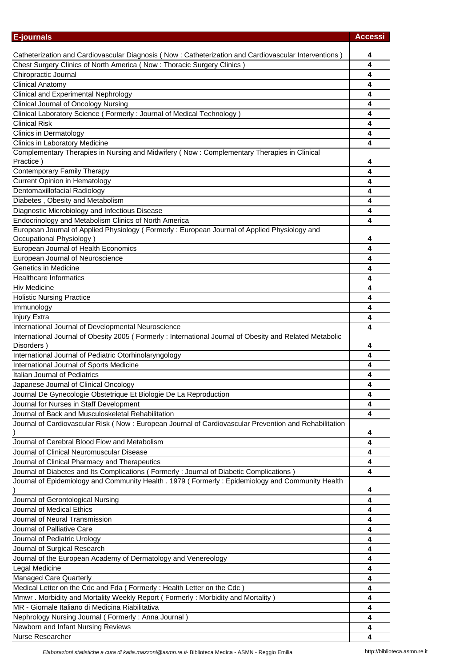| <b>E-journals</b>                                                                                       | <b>Accessi</b> |
|---------------------------------------------------------------------------------------------------------|----------------|
|                                                                                                         |                |
| Catheterization and Cardiovascular Diagnosis (Now: Catheterization and Cardiovascular Interventions)    | 4              |
| Chest Surgery Clinics of North America (Now: Thoracic Surgery Clinics)<br>Chiropractic Journal          | 4<br>4         |
| <b>Clinical Anatomy</b>                                                                                 | 4              |
| <b>Clinical and Experimental Nephrology</b>                                                             | 4              |
| <b>Clinical Journal of Oncology Nursing</b>                                                             | 4              |
| Clinical Laboratory Science (Formerly: Journal of Medical Technology)                                   | 4              |
| <b>Clinical Risk</b>                                                                                    | 4              |
| <b>Clinics in Dermatology</b>                                                                           | 4              |
| Clinics in Laboratory Medicine                                                                          | 4              |
| Complementary Therapies in Nursing and Midwifery (Now: Complementary Therapies in Clinical              |                |
| Practice)                                                                                               | 4              |
| <b>Contemporary Family Therapy</b>                                                                      | 4              |
| <b>Current Opinion in Hematology</b>                                                                    | 4              |
| Dentomaxillofacial Radiology                                                                            | 4              |
| Diabetes, Obesity and Metabolism                                                                        | 4              |
| Diagnostic Microbiology and Infectious Disease                                                          | 4              |
| Endocrinology and Metabolism Clinics of North America                                                   | 4              |
| European Journal of Applied Physiology (Formerly: European Journal of Applied Physiology and            |                |
| Occupational Physiology)                                                                                | 4              |
| European Journal of Health Economics                                                                    | 4              |
| European Journal of Neuroscience                                                                        | 4              |
| Genetics in Medicine                                                                                    | 4              |
| <b>Healthcare Informatics</b>                                                                           | 4              |
| <b>Hiv Medicine</b>                                                                                     | 4              |
| <b>Holistic Nursing Practice</b>                                                                        | 4              |
| Immunology                                                                                              | 4              |
| Injury Extra<br>International Journal of Developmental Neuroscience                                     | 4<br>4         |
| International Journal of Obesity 2005 (Formerly: International Journal of Obesity and Related Metabolic |                |
| Disorders)                                                                                              | 4              |
| International Journal of Pediatric Otorhinolaryngology                                                  | 4              |
| International Journal of Sports Medicine                                                                | 4              |
| Italian Journal of Pediatrics                                                                           | 4              |
| Japanese Journal of Clinical Oncology                                                                   |                |
| Journal De Gynecologie Obstetrique Et Biologie De La Reproduction                                       | 4              |
| Journal for Nurses in Staff Development                                                                 | 4              |
| Journal of Back and Musculoskeletal Rehabilitation                                                      | 4              |
| Journal of Cardiovascular Risk (Now: European Journal of Cardiovascular Prevention and Rehabilitation   | 4              |
| Journal of Cerebral Blood Flow and Metabolism                                                           | 4              |
| Journal of Clinical Neuromuscular Disease                                                               | 4              |
| Journal of Clinical Pharmacy and Therapeutics                                                           | 4              |
| Journal of Diabetes and Its Complications (Formerly: Journal of Diabetic Complications)                 | 4              |
| Journal of Epidemiology and Community Health . 1979 (Formerly: Epidemiology and Community Health        | 4              |
| Journal of Gerontological Nursing                                                                       | 4              |
| Journal of Medical Ethics                                                                               | 4              |
| Journal of Neural Transmission                                                                          | 4              |
| Journal of Palliative Care                                                                              | 4              |
| Journal of Pediatric Urology                                                                            | 4              |
| Journal of Surgical Research                                                                            | 4              |
| Journal of the European Academy of Dermatology and Venereology                                          | 4              |
| Legal Medicine                                                                                          | 4              |
| <b>Managed Care Quarterly</b>                                                                           | 4              |
| Medical Letter on the Cdc and Fda (Formerly: Health Letter on the Cdc)                                  | 4              |
| Mmwr. Morbidity and Mortality Weekly Report (Formerly: Morbidity and Mortality)                         | 4              |
| MR - Giornale Italiano di Medicina Riabilitativa                                                        | 4              |
| Nephrology Nursing Journal (Formerly: Anna Journal)                                                     | 4              |
| Newborn and Infant Nursing Reviews                                                                      | 4              |
| Nurse Researcher                                                                                        | 4              |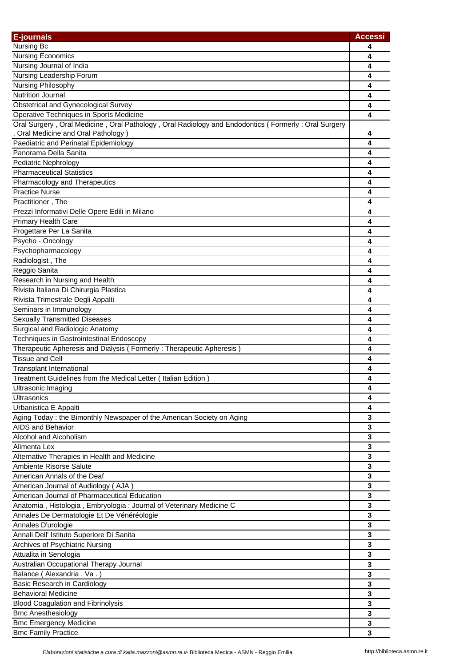| <b>E-journals</b>                                                                                   | <b>Accessi</b> |
|-----------------------------------------------------------------------------------------------------|----------------|
| Nursing Bc                                                                                          | 4              |
| <b>Nursing Economics</b>                                                                            | 4              |
| Nursing Journal of India                                                                            | 4              |
| Nursing Leadership Forum                                                                            | 4              |
| Nursing Philosophy                                                                                  | 4              |
| <b>Nutrition Journal</b>                                                                            | 4              |
| <b>Obstetrical and Gynecological Survey</b>                                                         | 4              |
| Operative Techniques in Sports Medicine                                                             | 4              |
| Oral Surgery, Oral Medicine, Oral Pathology, Oral Radiology and Endodontics (Formerly: Oral Surgery |                |
| Oral Medicine and Oral Pathology)                                                                   | 4              |
| Paediatric and Perinatal Epidemiology                                                               | 4              |
| Panorama Della Sanita                                                                               | 4              |
| Pediatric Nephrology                                                                                | 4              |
| <b>Pharmaceutical Statistics</b>                                                                    | 4              |
| Pharmacology and Therapeutics                                                                       | 4              |
| <b>Practice Nurse</b>                                                                               | 4              |
| Practitioner, The                                                                                   | 4              |
| Prezzi Informativi Delle Opere Edili in Milano                                                      | 4              |
| Primary Health Care                                                                                 | 4              |
| Progettare Per La Sanita                                                                            | 4              |
| Psycho - Oncology                                                                                   | 4              |
| Psychopharmacology                                                                                  | 4              |
| Radiologist, The                                                                                    | 4              |
| Reggio Sanita                                                                                       | 4              |
| Research in Nursing and Health                                                                      | 4              |
| Rivista Italiana Di Chirurgia Plastica                                                              | 4              |
| Rivista Trimestrale Degli Appalti                                                                   | 4              |
| Seminars in Immunology                                                                              | 4              |
| <b>Sexually Transmitted Diseases</b>                                                                | 4              |
| Surgical and Radiologic Anatomy                                                                     | 4              |
| <b>Techniques in Gastrointestinal Endoscopy</b>                                                     | 4              |
| Therapeutic Apheresis and Dialysis (Formerly: Therapeutic Apheresis)                                | 4              |
| <b>Tissue and Cell</b>                                                                              | 4              |
| <b>Transplant International</b>                                                                     | 4              |
| Treatment Guidelines from the Medical Letter (Italian Edition)                                      | 4              |
| Ultrasonic Imaging                                                                                  | 4              |
| Ultrasonics                                                                                         | 4              |
| Urbanistica E Appalti                                                                               | 4              |
| Aging Today: the Bimonthly Newspaper of the American Society on Aging                               | 3              |
| AIDS and Behavior                                                                                   | 3              |
| Alcohol and Alcoholism                                                                              | 3              |
| Alimenta Lex                                                                                        | 3              |
| Alternative Therapies in Health and Medicine                                                        | 3              |
| Ambiente Risorse Salute                                                                             | 3              |
| American Annals of the Deaf                                                                         | 3              |
| American Journal of Audiology (AJA)                                                                 | 3              |
| American Journal of Pharmaceutical Education                                                        | 3              |
| Anatomia, Histologia, Embryologia: Journal of Veterinary Medicine C                                 | 3              |
| Annales De Dermatologie Et De Vénéréologie                                                          | 3              |
| Annales D'urologie                                                                                  | 3              |
| Annali Dell' Istituto Superiore Di Sanita                                                           | 3              |
| Archives of Psychiatric Nursing                                                                     | 3              |
| Attualita in Senologia                                                                              | 3              |
| Australian Occupational Therapy Journal                                                             | 3              |
| Balance (Alexandria, Va.)                                                                           | 3              |
| Basic Research in Cardiology                                                                        | 3              |
| <b>Behavioral Medicine</b>                                                                          | 3              |
| <b>Blood Coagulation and Fibrinolysis</b>                                                           | 3              |
| <b>Bmc Anesthesiology</b>                                                                           | 3              |
| <b>Bmc Emergency Medicine</b>                                                                       | 3              |
| <b>Bmc Family Practice</b>                                                                          | 3              |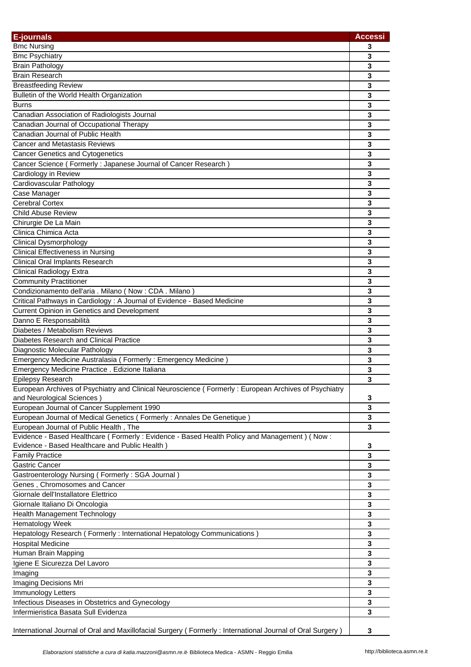| <b>E-journals</b>                                                                                         | <b>Accessi</b> |
|-----------------------------------------------------------------------------------------------------------|----------------|
| <b>Bmc Nursing</b>                                                                                        | 3              |
| <b>Bmc Psychiatry</b>                                                                                     | 3              |
| <b>Brain Pathology</b>                                                                                    | 3              |
| <b>Brain Research</b>                                                                                     | 3              |
| <b>Breastfeeding Review</b>                                                                               | 3              |
| Bulletin of the World Health Organization                                                                 | 3              |
| <b>Burns</b>                                                                                              | $\mathbf{3}$   |
| Canadian Association of Radiologists Journal                                                              | 3              |
| Canadian Journal of Occupational Therapy                                                                  | 3              |
| Canadian Journal of Public Health                                                                         | 3              |
| <b>Cancer and Metastasis Reviews</b>                                                                      | 3              |
| <b>Cancer Genetics and Cytogenetics</b>                                                                   | 3              |
| Cancer Science (Formerly: Japanese Journal of Cancer Research)                                            | 3              |
| Cardiology in Review                                                                                      | 3              |
| Cardiovascular Pathology                                                                                  | 3              |
| Case Manager                                                                                              | 3              |
| <b>Cerebral Cortex</b>                                                                                    | 3              |
| <b>Child Abuse Review</b>                                                                                 | 3              |
| Chirurgie De La Main                                                                                      | 3              |
| Clinica Chimica Acta                                                                                      | 3              |
| <b>Clinical Dysmorphology</b>                                                                             |                |
|                                                                                                           | 3              |
| <b>Clinical Effectiveness in Nursing</b>                                                                  | 3              |
| <b>Clinical Oral Implants Research</b>                                                                    | $\mathbf{3}$   |
| <b>Clinical Radiology Extra</b>                                                                           | 3              |
| <b>Community Practitioner</b>                                                                             | 3              |
| Condizionamento dell'aria . Milano (Now: CDA . Milano)                                                    | 3              |
| Critical Pathways in Cardiology: A Journal of Evidence - Based Medicine                                   | 3              |
| Current Opinion in Genetics and Development                                                               | 3              |
| Danno E Responsabilità                                                                                    | 3              |
| Diabetes / Metabolism Reviews                                                                             | 3              |
| Diabetes Research and Clinical Practice                                                                   | 3              |
| Diagnostic Molecular Pathology                                                                            | 3              |
| Emergency Medicine Australasia (Formerly: Emergency Medicine)                                             | 3              |
| Emergency Medicine Practice . Edizione Italiana                                                           | 3              |
| <b>Epilepsy Research</b>                                                                                  | 3              |
| European Archives of Psychiatry and Clinical Neuroscience (Formerly: European Archives of Psychiatry      |                |
| and Neurological Sciences)                                                                                | 3              |
| European Journal of Cancer Supplement 1990                                                                | 3              |
| European Journal of Medical Genetics (Formerly: Annales De Genetique)                                     | 3              |
| European Journal of Public Health, The                                                                    | 3              |
| Evidence - Based Healthcare (Formerly: Evidence - Based Health Policy and Management) (Now:               |                |
| Evidence - Based Healthcare and Public Health)                                                            | 3              |
| <b>Family Practice</b>                                                                                    | $\mathbf 3$    |
| Gastric Cancer                                                                                            | 3              |
| Gastroenterology Nursing (Formerly: SGA Journal)                                                          | 3              |
| Genes, Chromosomes and Cancer                                                                             | 3              |
| Giornale dell'Installatore Elettrico                                                                      | 3              |
| Giornale Italiano Di Oncologia                                                                            | 3              |
| Health Management Technology                                                                              | 3              |
| Hematology Week                                                                                           | 3              |
| Hepatology Research (Formerly: International Hepatology Communications)                                   | 3              |
| <b>Hospital Medicine</b>                                                                                  | 3              |
| Human Brain Mapping                                                                                       | 3              |
| Igiene E Sicurezza Del Lavoro                                                                             | 3              |
| Imaging                                                                                                   | 3              |
| Imaging Decisions Mri                                                                                     | 3              |
| Immunology Letters                                                                                        | 3              |
| Infectious Diseases in Obstetrics and Gynecology                                                          | 3              |
| Infermieristica Basata Sull Evidenza                                                                      | 3              |
| International Journal of Oral and Maxillofacial Surgery (Formerly: International Journal of Oral Surgery) | 3              |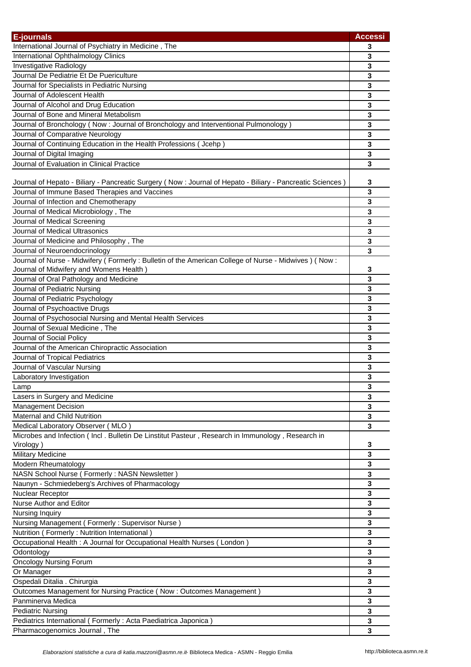| E-journals                                                                                                                           | <b>Accessi</b>          |
|--------------------------------------------------------------------------------------------------------------------------------------|-------------------------|
| International Journal of Psychiatry in Medicine, The                                                                                 | 3                       |
| International Ophthalmology Clinics                                                                                                  | 3                       |
| Investigative Radiology                                                                                                              | 3                       |
| Journal De Pediatrie Et De Puericulture                                                                                              | 3                       |
| Journal for Specialists in Pediatric Nursing                                                                                         | 3                       |
| Journal of Adolescent Health                                                                                                         | 3                       |
| Journal of Alcohol and Drug Education                                                                                                | 3                       |
| Journal of Bone and Mineral Metabolism                                                                                               | 3                       |
| Journal of Bronchology (Now : Journal of Bronchology and Interventional Pulmonology)                                                 | 3                       |
| Journal of Comparative Neurology                                                                                                     | 3                       |
| Journal of Continuing Education in the Health Professions ( Jcehp )                                                                  | 3                       |
| Journal of Digital Imaging                                                                                                           | 3                       |
| Journal of Evaluation in Clinical Practice                                                                                           | 3                       |
|                                                                                                                                      |                         |
| Journal of Hepato - Biliary - Pancreatic Surgery (Now : Journal of Hepato - Biliary - Pancreatic Sciences)                           | 3                       |
| Journal of Immune Based Therapies and Vaccines                                                                                       | 3                       |
| Journal of Infection and Chemotherapy                                                                                                | 3                       |
| Journal of Medical Microbiology, The                                                                                                 | 3                       |
| Journal of Medical Screening                                                                                                         | 3                       |
| Journal of Medical Ultrasonics                                                                                                       | 3                       |
| Journal of Medicine and Philosophy, The                                                                                              | 3                       |
|                                                                                                                                      |                         |
| Journal of Neuroendocrinology<br>Journal of Nurse - Midwifery (Formerly: Bulletin of the American College of Nurse - Midwives) (Now: | 3                       |
|                                                                                                                                      |                         |
| Journal of Midwifery and Womens Health)                                                                                              | 3                       |
| Journal of Oral Pathology and Medicine                                                                                               | 3                       |
| Journal of Pediatric Nursing                                                                                                         | 3                       |
| Journal of Pediatric Psychology                                                                                                      | 3                       |
| Journal of Psychoactive Drugs                                                                                                        | 3                       |
| Journal of Psychosocial Nursing and Mental Health Services                                                                           | 3                       |
| Journal of Sexual Medicine, The                                                                                                      | 3                       |
| Journal of Social Policy                                                                                                             | 3                       |
| Journal of the American Chiropractic Association                                                                                     | 3                       |
| Journal of Tropical Pediatrics                                                                                                       | 3                       |
| Journal of Vascular Nursing                                                                                                          | 3                       |
| Laboratory Investigation                                                                                                             | 3                       |
| Lamp                                                                                                                                 | 3                       |
| Lasers in Surgery and Medicine                                                                                                       | 3                       |
| <b>Management Decision</b>                                                                                                           | 3                       |
| <b>Maternal and Child Nutrition</b>                                                                                                  | 3                       |
| Medical Laboratory Observer (MLO)                                                                                                    | 3                       |
| Microbes and Infection (Incl. Bulletin De Linstitut Pasteur, Research in Immunology, Research in                                     |                         |
| Virology)                                                                                                                            | 3                       |
| <b>Military Medicine</b>                                                                                                             | 3                       |
| Modern Rheumatology                                                                                                                  | 3                       |
| NASN School Nurse ( Formerly : NASN Newsletter )                                                                                     | 3                       |
| Naunyn - Schmiedeberg's Archives of Pharmacology                                                                                     | 3                       |
| Nuclear Receptor                                                                                                                     | 3                       |
| Nurse Author and Editor                                                                                                              | 3                       |
| Nursing Inquiry                                                                                                                      | 3                       |
| Nursing Management (Formerly: Supervisor Nurse)                                                                                      | $\mathbf 3$             |
| Nutrition (Formerly: Nutrition International)                                                                                        | 3                       |
| Occupational Health : A Journal for Occupational Health Nurses (London)                                                              | 3                       |
| Odontology                                                                                                                           | $\overline{\mathbf{3}}$ |
| <b>Oncology Nursing Forum</b>                                                                                                        | $\mathbf{3}$            |
| Or Manager                                                                                                                           | $\mathbf 3$             |
|                                                                                                                                      |                         |
| Ospedali Ditalia . Chirurgia                                                                                                         | 3                       |
| Outcomes Management for Nursing Practice (Now: Outcomes Management)                                                                  | $\mathbf{3}$            |
| Panminerva Medica                                                                                                                    | 3                       |
| <b>Pediatric Nursing</b>                                                                                                             | 3                       |
| Pediatrics International (Formerly: Acta Paediatrica Japonica)                                                                       | 3                       |
| Pharmacogenomics Journal, The                                                                                                        | 3                       |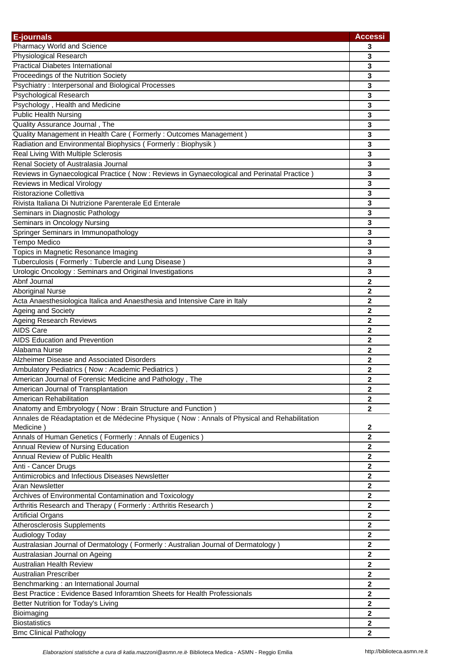| <b>E-journals</b>                                                                            | <b>Accessi</b>   |
|----------------------------------------------------------------------------------------------|------------------|
| Pharmacy World and Science                                                                   | 3                |
| Physiological Research                                                                       | 3                |
| <b>Practical Diabetes International</b>                                                      | 3                |
| Proceedings of the Nutrition Society                                                         | 3                |
| Psychiatry: Interpersonal and Biological Processes                                           | 3                |
| Psychological Research                                                                       | 3                |
| Psychology, Health and Medicine                                                              | 3                |
| <b>Public Health Nursing</b>                                                                 | 3                |
| Quality Assurance Journal, The                                                               | $\mathbf{3}$     |
| Quality Management in Health Care (Formerly: Outcomes Management)                            | 3                |
| Radiation and Environmental Biophysics (Formerly: Biophysik)                                 | $\mathbf{3}$     |
| Real Living With Multiple Sclerosis                                                          | 3                |
| Renal Society of Australasia Journal                                                         | 3                |
| Reviews in Gynaecological Practice (Now: Reviews in Gynaecological and Perinatal Practice)   | 3                |
| Reviews in Medical Virology                                                                  | 3                |
| Ristorazione Collettiva                                                                      | 3                |
| Rivista Italiana Di Nutrizione Parenterale Ed Enterale                                       | 3                |
| Seminars in Diagnostic Pathology                                                             | 3                |
| Seminars in Oncology Nursing                                                                 | 3                |
| Springer Seminars in Immunopathology                                                         | 3                |
| Tempo Medico                                                                                 | 3                |
| Topics in Magnetic Resonance Imaging                                                         | 3                |
| Tuberculosis (Formerly: Tubercle and Lung Disease)                                           | 3                |
| Urologic Oncology: Seminars and Original Investigations                                      | 3                |
| Abnf Journal                                                                                 | $\mathbf{2}$     |
| <b>Aboriginal Nurse</b>                                                                      | $\mathbf{2}$     |
| Acta Anaesthesiologica Italica and Anaesthesia and Intensive Care in Italy                   | $\mathbf 2$      |
| Ageing and Society                                                                           | $\mathbf 2$      |
| <b>Ageing Research Reviews</b>                                                               | 2                |
| <b>AIDS Care</b>                                                                             | $\mathbf 2$      |
| <b>AIDS Education and Prevention</b>                                                         | 2                |
| Alabama Nurse                                                                                | 2                |
| Alzheimer Disease and Associated Disorders                                                   | $\mathbf{2}$     |
| Ambulatory Pediatrics (Now: Academic Pediatrics)                                             | 2                |
| American Journal of Forensic Medicine and Pathology, The                                     | 2                |
| American Journal of Transplantation                                                          | 2                |
| American Rehabilitation                                                                      | 2                |
| Anatomy and Embryology (Now: Brain Structure and Function)                                   | $\mathbf{2}$     |
| Annales de Réadaptation et de Médecine Physique (Now : Annals of Physical and Rehabilitation |                  |
| Medicine)                                                                                    | $\mathbf{2}$     |
| Annals of Human Genetics (Formerly: Annals of Eugenics)                                      | $\mathbf{2}$     |
| Annual Review of Nursing Education                                                           | $\mathbf{2}$     |
| Annual Review of Public Health                                                               | $\mathbf{2}$     |
| Anti - Cancer Drugs                                                                          | $\overline{2}$   |
| Antimicrobics and Infectious Diseases Newsletter                                             | $\mathbf{2}$     |
| Aran Newsletter                                                                              | $\mathbf 2$      |
| Archives of Environmental Contamination and Toxicology                                       | $\mathbf 2$      |
| Arthritis Research and Therapy (Formerly: Arthritis Research)                                | $\boldsymbol{2}$ |
| <b>Artificial Organs</b>                                                                     | $\mathbf 2$      |
| Atherosclerosis Supplements                                                                  | 2                |
| Audiology Today                                                                              | $\mathbf 2$      |
| Australasian Journal of Dermatology (Formerly: Australian Journal of Dermatology)            | $\mathbf 2$      |
| Australasian Journal on Ageing                                                               | $\mathbf{2}$     |
| <b>Australian Health Review</b>                                                              | $\mathbf{2}$     |
| <b>Australian Prescriber</b>                                                                 | $\mathbf{2}$     |
| Benchmarking : an International Journal                                                      | $\mathbf 2$      |
| Best Practice: Evidence Based Inforamtion Sheets for Health Professionals                    | $\mathbf{2}$     |
| Better Nutrition for Today's Living                                                          | 2                |
| Bioimaging                                                                                   | $\mathbf{2}$     |
| <b>Biostatistics</b>                                                                         | 2                |
| <b>Bmc Clinical Pathology</b>                                                                | $\mathbf{2}$     |
|                                                                                              |                  |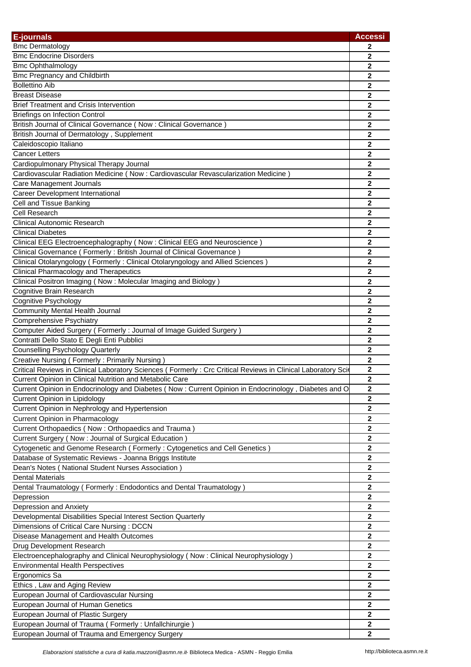| E-journals                                                                                                                                                              | <b>Accessi</b> |
|-------------------------------------------------------------------------------------------------------------------------------------------------------------------------|----------------|
| <b>Bmc Dermatology</b>                                                                                                                                                  | 2              |
| <b>Bmc Endocrine Disorders</b>                                                                                                                                          | 2              |
| <b>Bmc Ophthalmology</b>                                                                                                                                                | $\mathbf{2}$   |
| <b>Bmc Pregnancy and Childbirth</b>                                                                                                                                     | 2              |
| <b>Bollettino Aib</b>                                                                                                                                                   | $\mathbf{2}$   |
| <b>Breast Disease</b>                                                                                                                                                   | 2              |
| <b>Brief Treatment and Crisis Intervention</b>                                                                                                                          | $\mathbf{2}$   |
| <b>Briefings on Infection Control</b>                                                                                                                                   | $\mathbf{2}$   |
| British Journal of Clinical Governance (Now: Clinical Governance)                                                                                                       | $\mathbf{2}$   |
| British Journal of Dermatology, Supplement                                                                                                                              | $\mathbf{2}$   |
| Caleidoscopio Italiano                                                                                                                                                  | $\mathbf{2}$   |
| <b>Cancer Letters</b>                                                                                                                                                   | $\mathbf{2}$   |
| Cardiopulmonary Physical Therapy Journal                                                                                                                                | $\mathbf 2$    |
| Cardiovascular Radiation Medicine (Now: Cardiovascular Revascularization Medicine)                                                                                      | 2              |
| Care Management Journals                                                                                                                                                | 2              |
| Career Development International                                                                                                                                        | $\mathbf{2}$   |
| Cell and Tissue Banking                                                                                                                                                 | $\mathbf 2$    |
| Cell Research                                                                                                                                                           | $\mathbf{2}$   |
| <b>Clinical Autonomic Research</b>                                                                                                                                      | $\mathbf{2}$   |
| <b>Clinical Diabetes</b>                                                                                                                                                | $\mathbf{2}$   |
| Clinical EEG Electroencephalography (Now: Clinical EEG and Neuroscience)                                                                                                | 2              |
| Clinical Governance (Formerly: British Journal of Clinical Governance)                                                                                                  | $\overline{2}$ |
| Clinical Otolaryngology (Formerly: Clinical Otolaryngology and Allied Sciences)                                                                                         | $\overline{2}$ |
| <b>Clinical Pharmacology and Therapeutics</b>                                                                                                                           | $\overline{2}$ |
| Clinical Positron Imaging (Now: Molecular Imaging and Biology)                                                                                                          | $\mathbf 2$    |
| Cognitive Brain Research                                                                                                                                                | $\mathbf 2$    |
| Cognitive Psychology                                                                                                                                                    | $\mathbf 2$    |
| <b>Community Mental Health Journal</b>                                                                                                                                  | $\mathbf 2$    |
| <b>Comprehensive Psychiatry</b>                                                                                                                                         | 2              |
| Computer Aided Surgery (Formerly: Journal of Image Guided Surgery)                                                                                                      | $\mathbf 2$    |
| Contratti Dello Stato E Degli Enti Pubblici                                                                                                                             | 2              |
| <b>Counselling Psychology Quarterly</b>                                                                                                                                 | $\mathbf{2}$   |
| Creative Nursing (Formerly: Primarily Nursing)                                                                                                                          | $\mathbf{2}$   |
|                                                                                                                                                                         | $\mathbf 2$    |
| Critical Reviews in Clinical Laboratory Sciences (Formerly: Crc Critical Reviews in Clinical Laboratory Sci<br>Current Opinion in Clinical Nutrition and Metabolic Care | $\mathbf{2}$   |
|                                                                                                                                                                         |                |
| Current Opinion in Endocrinology and Diabetes (Now: Current Opinion in Endocrinology, Diabetes and O                                                                    | 2<br>2         |
| Current Opinion in Lipidology<br>Current Opinion in Nephrology and Hypertension                                                                                         | $\mathbf 2$    |
| <b>Current Opinion in Pharmacology</b>                                                                                                                                  | $\mathbf 2$    |
| Current Orthopaedics (Now: Orthopaedics and Trauma)                                                                                                                     | $\mathbf 2$    |
|                                                                                                                                                                         | $\mathbf 2$    |
| Current Surgery (Now : Journal of Surgical Education)                                                                                                                   |                |
| Cytogenetic and Genome Research (Formerly: Cytogenetics and Cell Genetics)                                                                                              | $\mathbf{2}$   |
| Database of Systematic Reviews - Joanna Briggs Institute                                                                                                                | $\mathbf 2$    |
| Dean's Notes (National Student Nurses Association)                                                                                                                      | $\mathbf 2$    |
| <b>Dental Materials</b>                                                                                                                                                 | $\mathbf{2}$   |
| Dental Traumatology (Formerly: Endodontics and Dental Traumatology)                                                                                                     | 2              |
| Depression                                                                                                                                                              | 2              |
| Depression and Anxiety                                                                                                                                                  | $\mathbf{2}$   |
| Developmental Disabilities Special Interest Section Quarterly                                                                                                           | $\mathbf{2}$   |
| Dimensions of Critical Care Nursing: DCCN                                                                                                                               | $\mathbf 2$    |
| Disease Management and Health Outcomes                                                                                                                                  | $\mathbf{2}$   |
| Drug Development Research                                                                                                                                               | $\mathbf 2$    |
| Electroencephalography and Clinical Neurophysiology (Now: Clinical Neurophysiology)                                                                                     | $\mathbf{2}$   |
| <b>Environmental Health Perspectives</b>                                                                                                                                | $\mathbf 2$    |
| Ergonomics Sa                                                                                                                                                           | $\mathbf{2}$   |
| Ethics, Law and Aging Review                                                                                                                                            | 2              |
| European Journal of Cardiovascular Nursing                                                                                                                              | $\mathbf 2$    |
| European Journal of Human Genetics                                                                                                                                      | $\mathbf{2}$   |
| European Journal of Plastic Surgery                                                                                                                                     | $\mathbf{2}$   |
| European Journal of Trauma (Formerly: Unfallchirurgie)                                                                                                                  | $\mathbf{2}$   |
| European Journal of Trauma and Emergency Surgery                                                                                                                        | $\mathbf{2}$   |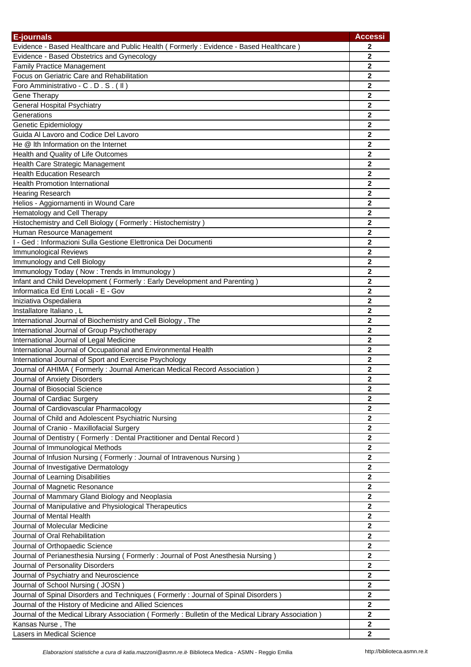| <b>E-journals</b>                                                                                  | <b>Accessi</b> |
|----------------------------------------------------------------------------------------------------|----------------|
| Evidence - Based Healthcare and Public Health (Formerly: Evidence - Based Healthcare)              | 2              |
| Evidence - Based Obstetrics and Gynecology                                                         | $\mathbf 2$    |
| <b>Family Practice Management</b>                                                                  | $\mathbf{2}$   |
| Focus on Geriatric Care and Rehabilitation                                                         | 2              |
| Foro Amministrativo - C.D.S. (II)                                                                  | $\mathbf{2}$   |
| Gene Therapy                                                                                       | 2              |
| General Hospital Psychiatry                                                                        | 2              |
| Generations                                                                                        | 2              |
| Genetic Epidemiology                                                                               | 2              |
| Guida Al Lavoro and Codice Del Lavoro                                                              | 2              |
| He @ Ith Information on the Internet                                                               | $\overline{2}$ |
| Health and Quality of Life Outcomes                                                                | 2              |
| Health Care Strategic Management                                                                   | 2              |
| <b>Health Education Research</b>                                                                   | $\mathbf 2$    |
| <b>Health Promotion International</b>                                                              | $\mathbf{2}$   |
| <b>Hearing Research</b>                                                                            | $\mathbf 2$    |
| Helios - Aggiornamenti in Wound Care                                                               | $\mathbf 2$    |
| Hematology and Cell Therapy                                                                        | $\mathbf 2$    |
| Histochemistry and Cell Biology (Formerly: Histochemistry)                                         | $\overline{2}$ |
| Human Resource Management                                                                          | 2              |
| I - Ged : Informazioni Sulla Gestione Elettronica Dei Documenti                                    | 2              |
| <b>Immunological Reviews</b>                                                                       | $\mathbf{2}$   |
| Immunology and Cell Biology                                                                        | $\mathbf{2}$   |
| Immunology Today (Now: Trends in Immunology)                                                       | $\mathbf{2}$   |
| Infant and Child Development (Formerly: Early Development and Parenting)                           | $\mathbf{2}$   |
| Informatica Ed Enti Locali - E - Gov                                                               | $\mathbf{2}$   |
| Iniziativa Ospedaliera                                                                             | $\mathbf{2}$   |
| Installatore Italiano, L                                                                           | $\mathbf 2$    |
| International Journal of Biochemistry and Cell Biology, The                                        | $\overline{2}$ |
| International Journal of Group Psychotherapy                                                       | $\mathbf 2$    |
| International Journal of Legal Medicine                                                            | $\mathbf{2}$   |
| International Journal of Occupational and Environmental Health                                     | 2              |
| International Journal of Sport and Exercise Psychology                                             | 2              |
| Journal of AHIMA (Formerly: Journal American Medical Record Association)                           | 2              |
| Journal of Anxiety Disorders                                                                       | $\overline{2}$ |
| Journal of Biosocial Science                                                                       | 2              |
| Journal of Cardiac Surgery                                                                         | 2              |
| Journal of Cardiovascular Pharmacology                                                             | $\mathbf 2$    |
| Journal of Child and Adolescent Psychiatric Nursing                                                | $\mathbf{2}$   |
| Journal of Cranio - Maxillofacial Surgery                                                          | $\mathbf 2$    |
| Journal of Dentistry (Formerly: Dental Practitioner and Dental Record)                             | $\mathbf 2$    |
| Journal of Immunological Methods                                                                   | $\mathbf 2$    |
| Journal of Infusion Nursing (Formerly: Journal of Intravenous Nursing)                             | $\mathbf 2$    |
| Journal of Investigative Dermatology                                                               | $\overline{2}$ |
|                                                                                                    | 2              |
| Journal of Learning Disabilities                                                                   | 2              |
| Journal of Magnetic Resonance                                                                      | $\mathbf 2$    |
| Journal of Mammary Gland Biology and Neoplasia                                                     |                |
| Journal of Manipulative and Physiological Therapeutics                                             | $\mathbf 2$    |
| Journal of Mental Health                                                                           | $\mathbf 2$    |
| Journal of Molecular Medicine                                                                      | $\mathbf 2$    |
| Journal of Oral Rehabilitation                                                                     | $\mathbf 2$    |
| Journal of Orthopaedic Science                                                                     | $\mathbf 2$    |
| Journal of Perianesthesia Nursing (Formerly: Journal of Post Anesthesia Nursing)                   | $\mathbf 2$    |
| Journal of Personality Disorders                                                                   | $\mathbf 2$    |
| Journal of Psychiatry and Neuroscience                                                             | $\mathbf 2$    |
| Journal of School Nursing (JOSN)                                                                   | $\mathbf 2$    |
| Journal of Spinal Disorders and Techniques (Formerly: Journal of Spinal Disorders)                 | $\mathbf 2$    |
| Journal of the History of Medicine and Allied Sciences                                             | 2              |
| Journal of the Medical Library Association (Formerly: Bulletin of the Medical Library Association) | $\mathbf 2$    |
| Kansas Nurse, The                                                                                  | $\overline{2}$ |
| Lasers in Medical Science                                                                          | $\mathbf{2}$   |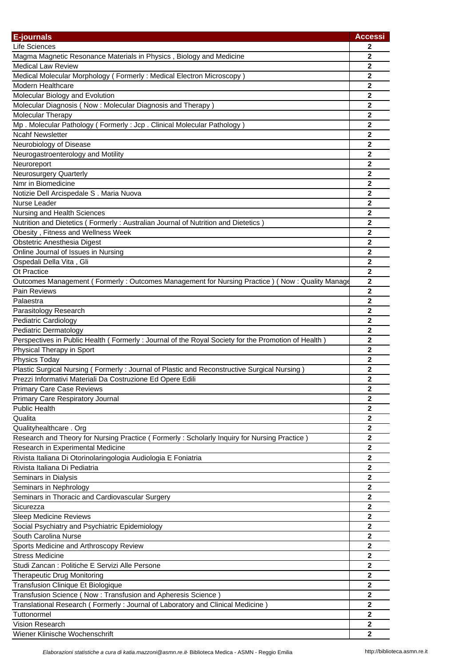| E-journals                                                                                         | <b>Accessi</b>   |
|----------------------------------------------------------------------------------------------------|------------------|
| Life Sciences                                                                                      | 2                |
| Magma Magnetic Resonance Materials in Physics, Biology and Medicine                                | $\mathbf{2}$     |
| <b>Medical Law Review</b>                                                                          | $\mathbf{2}$     |
| Medical Molecular Morphology (Formerly: Medical Electron Microscopy)                               | $\mathbf{2}$     |
| Modern Healthcare                                                                                  | $\mathbf 2$      |
| Molecular Biology and Evolution                                                                    | $\mathbf{2}$     |
| Molecular Diagnosis (Now: Molecular Diagnosis and Therapy)                                         | 2                |
| Molecular Therapy                                                                                  | 2                |
| Mp. Molecular Pathology (Formerly: Jcp. Clinical Molecular Pathology)                              | $\overline{2}$   |
| <b>Ncahf Newsletter</b>                                                                            | $\mathbf 2$      |
| Neurobiology of Disease                                                                            | $\mathbf{2}$     |
|                                                                                                    | $\bf{2}$         |
| Neurogastroenterology and Motility                                                                 |                  |
| Neuroreport                                                                                        | $\mathbf 2$      |
| Neurosurgery Quarterly                                                                             | $\boldsymbol{2}$ |
| Nmr in Biomedicine                                                                                 | 2                |
| Notizie Dell Arcispedale S. Maria Nuova                                                            | 2                |
| Nurse Leader                                                                                       | $\mathbf{2}$     |
| Nursing and Health Sciences                                                                        | $\mathbf{2}$     |
| Nutrition and Dietetics (Formerly: Australian Journal of Nutrition and Dietetics)                  | $\mathbf{2}$     |
| Obesity, Fitness and Wellness Week                                                                 | $\mathbf{2}$     |
| Obstetric Anesthesia Digest                                                                        | $\mathbf{2}$     |
| Online Journal of Issues in Nursing                                                                | $\mathbf 2$      |
| Ospedali Della Vita, Gli                                                                           | $\mathbf{2}$     |
| Ot Practice                                                                                        | $\mathbf{2}$     |
| Outcomes Management (Formerly: Outcomes Management for Nursing Practice) (Now: Quality Manage      | $\overline{2}$   |
| <b>Pain Reviews</b>                                                                                | $\mathbf{2}$     |
| Palaestra                                                                                          | $\mathbf 2$      |
| Parasitology Research                                                                              | $\mathbf 2$      |
| Pediatric Cardiology                                                                               | $\mathbf 2$      |
| Pediatric Dermatology                                                                              | $\boldsymbol{2}$ |
| Perspectives in Public Health (Formerly: Journal of the Royal Society for the Promotion of Health) | $\mathbf 2$      |
| Physical Therapy in Sport                                                                          | 2                |
| Physics Today                                                                                      | $\mathbf{2}$     |
| Plastic Surgical Nursing (Formerly: Journal of Plastic and Reconstructive Surgical Nursing)        | $\boldsymbol{2}$ |
| Prezzi Informativi Materiali Da Costruzione Ed Opere Edili                                         | $\mathbf{2}$     |
| <b>Primary Care Case Reviews</b>                                                                   | $\boldsymbol{2}$ |
| Primary Care Respiratory Journal                                                                   | $\overline{2}$   |
| Public Health                                                                                      | $\mathbf{2}$     |
| Qualita                                                                                            | $\mathbf{2}$     |
| Qualityhealthcare . Org                                                                            | 2                |
| Research and Theory for Nursing Practice (Formerly: Scholarly Inquiry for Nursing Practice)        | $\mathbf{2}$     |
| Research in Experimental Medicine                                                                  | $\overline{2}$   |
| Rivista Italiana Di Otorinolaringologia Audiologia E Foniatria                                     | $\mathbf{2}$     |
| Rivista Italiana Di Pediatria                                                                      | $\mathbf{2}$     |
| Seminars in Dialysis                                                                               | $\mathbf 2$      |
| Seminars in Nephrology                                                                             | $\mathbf{2}$     |
| Seminars in Thoracic and Cardiovascular Surgery                                                    | $\boldsymbol{2}$ |
| Sicurezza                                                                                          | $\mathbf 2$      |
|                                                                                                    | $\mathbf 2$      |
| Sleep Medicine Reviews                                                                             | $\mathbf{2}$     |
| Social Psychiatry and Psychiatric Epidemiology                                                     |                  |
| South Carolina Nurse                                                                               | $\mathbf 2$      |
| Sports Medicine and Arthroscopy Review                                                             | $\mathbf 2$      |
| <b>Stress Medicine</b>                                                                             | $\mathbf 2$      |
| Studi Zancan: Politiche E Servizi Alle Persone                                                     | $\mathbf{2}$     |
| <b>Therapeutic Drug Monitoring</b>                                                                 | $\mathbf 2$      |
| Transfusion Clinique Et Biologique                                                                 | $\mathbf{2}$     |
| Transfusion Science (Now: Transfusion and Apheresis Science)                                       | 2                |
| Translational Research (Formerly: Journal of Laboratory and Clinical Medicine)                     | $\mathbf{2}$     |
| Tuttonormel                                                                                        | $\mathbf{2}$     |
| <b>Vision Research</b>                                                                             | 2                |
| Wiener Klinische Wochenschrift                                                                     | $\mathbf{2}$     |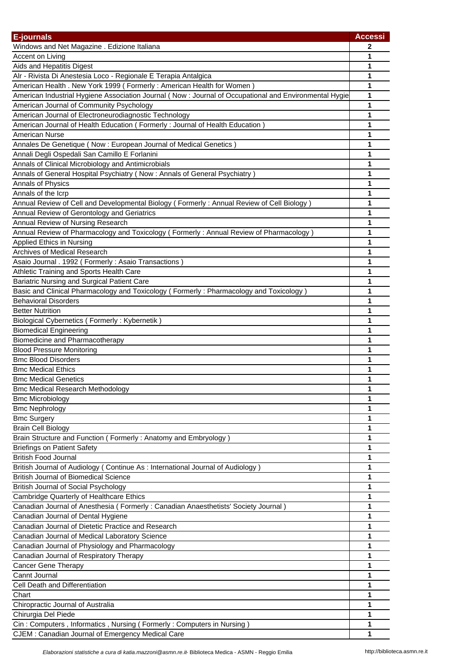| <b>E-journals</b>                                                                                      | <b>Accessi</b> |
|--------------------------------------------------------------------------------------------------------|----------------|
| Windows and Net Magazine . Edizione Italiana                                                           | 2              |
| Accent on Living                                                                                       | 1              |
| Aids and Hepatitis Digest                                                                              | 1              |
| Alr - Rivista Di Anestesia Loco - Regionale E Terapia Antalgica                                        | 1              |
| American Health . New York 1999 (Formerly: American Health for Women)                                  | 1              |
| American Industrial Hygiene Association Journal (Now : Journal of Occupational and Environmental Hygie | 1              |
|                                                                                                        |                |
| American Journal of Community Psychology                                                               | 1              |
| American Journal of Electroneurodiagnostic Technology                                                  | 1              |
| American Journal of Health Education (Formerly: Journal of Health Education)                           | 1              |
| American Nurse                                                                                         | 1              |
| Annales De Genetique (Now : European Journal of Medical Genetics)                                      | 1              |
| Annali Degli Ospedali San Camillo E Forlanini                                                          | 1              |
| Annals of Clinical Microbiology and Antimicrobials                                                     | 1              |
| Annals of General Hospital Psychiatry (Now: Annals of General Psychiatry)                              | 1              |
| Annals of Physics                                                                                      | 1              |
| Annals of the Icrp                                                                                     | 1              |
| Annual Review of Cell and Developmental Biology (Formerly: Annual Review of Cell Biology)              | 1              |
| Annual Review of Gerontology and Geriatrics                                                            | 1              |
| Annual Review of Nursing Research                                                                      | 1              |
| Annual Review of Pharmacology and Toxicology (Formerly: Annual Review of Pharmacology)                 | 1              |
| Applied Ethics in Nursing                                                                              | 1              |
| Archives of Medical Research                                                                           | 1              |
| Asaio Journal . 1992 (Formerly: Asaio Transactions)                                                    | 1              |
| Athletic Training and Sports Health Care                                                               | 1              |
| Bariatric Nursing and Surgical Patient Care                                                            | 1              |
| Basic and Clinical Pharmacology and Toxicology (Formerly: Pharmacology and Toxicology)                 | 1              |
| <b>Behavioral Disorders</b>                                                                            | 1              |
| <b>Better Nutrition</b>                                                                                | 1              |
| Biological Cybernetics (Formerly: Kybernetik)                                                          | 1              |
| <b>Biomedical Engineering</b>                                                                          | 1              |
| Biomedicine and Pharmacotherapy                                                                        | 1              |
| <b>Blood Pressure Monitoring</b>                                                                       | 1              |
| <b>Bmc Blood Disorders</b>                                                                             | 1              |
| <b>Bmc Medical Ethics</b>                                                                              | 1              |
| <b>Bmc Medical Genetics</b>                                                                            | 1              |
| <b>Bmc Medical Research Methodology</b>                                                                | 1              |
| <b>Bmc Microbiology</b>                                                                                | 1              |
| <b>Bmc Nephrology</b>                                                                                  | 1              |
| <b>Bmc Surgery</b>                                                                                     | 1              |
| <b>Brain Cell Biology</b>                                                                              | 1              |
| Brain Structure and Function (Formerly: Anatomy and Embryology)                                        | 1              |
| <b>Briefings on Patient Safety</b>                                                                     | 1              |
| <b>British Food Journal</b>                                                                            | 1              |
| British Journal of Audiology (Continue As: International Journal of Audiology)                         | 1              |
|                                                                                                        |                |
| <b>British Journal of Biomedical Science</b><br><b>British Journal of Social Psychology</b>            | 1<br>1         |
|                                                                                                        |                |
| Cambridge Quarterly of Healthcare Ethics                                                               | 1              |
| Canadian Journal of Anesthesia (Formerly: Canadian Anaesthetists' Society Journal)                     | 1              |
| Canadian Journal of Dental Hygiene                                                                     | 1              |
| Canadian Journal of Dietetic Practice and Research                                                     | 1              |
| Canadian Journal of Medical Laboratory Science                                                         | 1              |
| Canadian Journal of Physiology and Pharmacology                                                        | 1              |
| Canadian Journal of Respiratory Therapy                                                                | 1              |
| <b>Cancer Gene Therapy</b>                                                                             | 1              |
| Cannt Journal                                                                                          | 1              |
| Cell Death and Differentiation                                                                         | 1              |
| Chart                                                                                                  | 1              |
| Chiropractic Journal of Australia                                                                      | 1              |
| Chirurgia Del Piede                                                                                    | 1              |
| Cin: Computers, Informatics, Nursing (Formerly: Computers in Nursing)                                  | 1              |
| CJEM : Canadian Journal of Emergency Medical Care                                                      | 1              |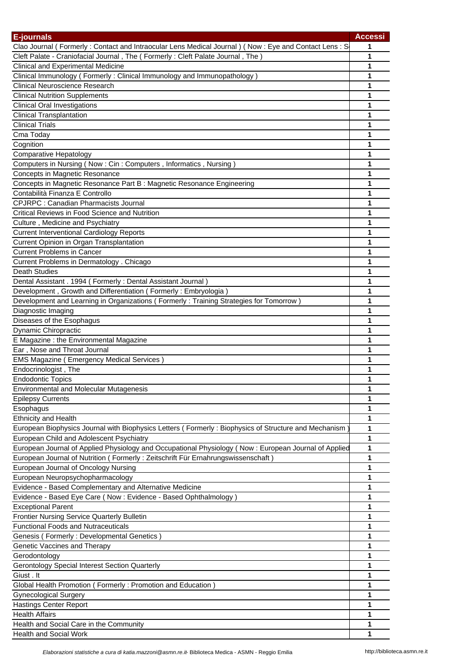| E-journals                                                                                           | <b>Accessi</b> |
|------------------------------------------------------------------------------------------------------|----------------|
| Clao Journal (Formerly: Contact and Intraocular Lens Medical Journal) (Now: Eye and Contact Lens: S  | 1              |
| Cleft Palate - Craniofacial Journal, The (Formerly: Cleft Palate Journal, The)                       | 1              |
| <b>Clinical and Experimental Medicine</b>                                                            | 1              |
| Clinical Immunology (Formerly: Clinical Immunology and Immunopathology)                              | 1              |
| <b>Clinical Neuroscience Research</b>                                                                | 1              |
| <b>Clinical Nutrition Supplements</b>                                                                | 1              |
| <b>Clinical Oral Investigations</b>                                                                  | 1              |
| <b>Clinical Transplantation</b>                                                                      | 1              |
| <b>Clinical Trials</b>                                                                               | 1              |
| Cma Today                                                                                            | 1              |
| Cognition                                                                                            | 1              |
| <b>Comparative Hepatology</b>                                                                        | 1              |
| Computers in Nursing (Now: Cin: Computers, Informatics, Nursing)                                     | 1              |
| Concepts in Magnetic Resonance                                                                       | 1              |
| Concepts in Magnetic Resonance Part B : Magnetic Resonance Engineering                               | 1              |
| Contabilità Finanza E Controllo                                                                      | 1              |
| <b>CPJRPC: Canadian Pharmacists Journal</b>                                                          | 1              |
| Critical Reviews in Food Science and Nutrition                                                       | 1              |
| Culture, Medicine and Psychiatry                                                                     | 1              |
| <b>Current Interventional Cardiology Reports</b>                                                     | 1              |
| Current Opinion in Organ Transplantation                                                             | 1              |
| <b>Current Problems in Cancer</b>                                                                    | 1              |
| Current Problems in Dermatology . Chicago                                                            | 1              |
| <b>Death Studies</b>                                                                                 | 1              |
| Dental Assistant . 1994 (Formerly: Dental Assistant Journal)                                         | 1              |
| Development, Growth and Differentiation (Formerly: Embryologia)                                      | 1              |
| Development and Learning in Organizations (Formerly: Training Strategies for Tomorrow)               | 1              |
| Diagnostic Imaging                                                                                   | 1              |
| Diseases of the Esophagus                                                                            | 1              |
| Dynamic Chiropractic                                                                                 | 1              |
| E Magazine : the Environmental Magazine                                                              | 1              |
| Ear, Nose and Throat Journal                                                                         | 1              |
| <b>EMS Magazine (Emergency Medical Services)</b>                                                     | 1              |
| Endocrinologist, The                                                                                 | 1              |
| <b>Endodontic Topics</b>                                                                             | 1              |
| <b>Environmental and Molecular Mutagenesis</b>                                                       | 1              |
| <b>Epilepsy Currents</b>                                                                             | 1              |
| Esophagus                                                                                            | 1              |
| <b>Ethnicity and Health</b>                                                                          | 1              |
| European Biophysics Journal with Biophysics Letters (Formerly: Biophysics of Structure and Mechanism | 1              |
| European Child and Adolescent Psychiatry                                                             | 1              |
| European Journal of Applied Physiology and Occupational Physiology (Now: European Journal of Applied | 1              |
| European Journal of Nutrition (Formerly: Zeitschrift Für Ernahrungswissenschaft)                     | 1              |
| European Journal of Oncology Nursing                                                                 | 1              |
| European Neuropsychopharmacology                                                                     | 1              |
| Evidence - Based Complementary and Alternative Medicine                                              | 1              |
| Evidence - Based Eye Care (Now: Evidence - Based Ophthalmology)                                      | 1              |
| <b>Exceptional Parent</b>                                                                            | 1              |
| Frontier Nursing Service Quarterly Bulletin                                                          | 1              |
| <b>Functional Foods and Nutraceuticals</b>                                                           | 1              |
| Genesis (Formerly: Developmental Genetics)                                                           | 1              |
| Genetic Vaccines and Therapy                                                                         | 1              |
| Gerodontology                                                                                        | 1              |
| Gerontology Special Interest Section Quarterly                                                       | 1              |
| Giust . It                                                                                           | 1              |
| Global Health Promotion (Formerly: Promotion and Education)                                          | 1              |
| <b>Gynecological Surgery</b>                                                                         | 1              |
| <b>Hastings Center Report</b>                                                                        | 1              |
| <b>Health Affairs</b>                                                                                | 1              |
| Health and Social Care in the Community                                                              | 1              |
| <b>Health and Social Work</b>                                                                        | 1              |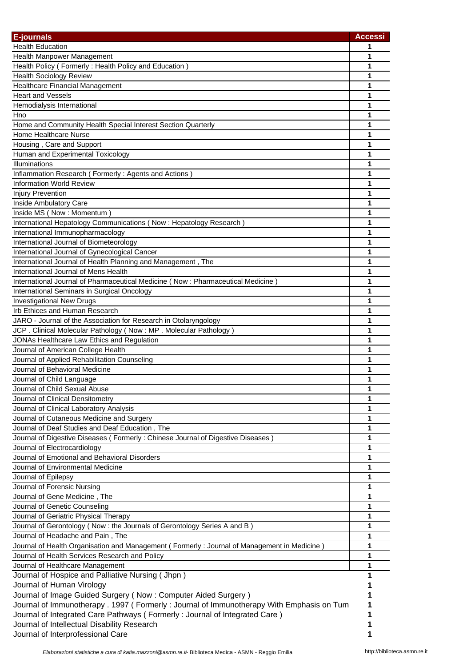| <b>E-journals</b>                                                                           | <b>Accessi</b> |
|---------------------------------------------------------------------------------------------|----------------|
| <b>Health Education</b>                                                                     | 1              |
| Health Manpower Management                                                                  | 1              |
| Health Policy (Formerly: Health Policy and Education)                                       | 1              |
| <b>Health Sociology Review</b>                                                              | 1              |
| Healthcare Financial Management                                                             | 1              |
| <b>Heart and Vessels</b>                                                                    | 1              |
| Hemodialysis International                                                                  | 1              |
| Hno                                                                                         | 1              |
| Home and Community Health Special Interest Section Quarterly                                | 1              |
| Home Healthcare Nurse                                                                       | 1              |
| Housing, Care and Support                                                                   | 1              |
| Human and Experimental Toxicology                                                           | 1              |
| Illuminations                                                                               | 1              |
| Inflammation Research (Formerly: Agents and Actions)                                        | 1              |
| <b>Information World Review</b>                                                             | 1              |
| <b>Injury Prevention</b>                                                                    | 1              |
| Inside Ambulatory Care                                                                      | 1              |
| Inside MS (Now: Momentum)                                                                   | 1              |
| International Hepatology Communications (Now: Hepatology Research)                          | 1              |
| International Immunopharmacology                                                            | 1              |
| International Journal of Biometeorology                                                     | 1              |
| International Journal of Gynecological Cancer                                               | 1              |
| International Journal of Health Planning and Management, The                                | 1              |
| International Journal of Mens Health                                                        | 1              |
| International Journal of Pharmaceutical Medicine (Now : Pharmaceutical Medicine)            | 1              |
| International Seminars in Surgical Oncology                                                 | 1              |
| <b>Investigational New Drugs</b>                                                            | 1              |
| Irb Ethices and Human Research                                                              | 1              |
| JARO - Journal of the Association for Research in Otolaryngology                            | 1              |
| JCP. Clinical Molecular Pathology (Now: MP. Molecular Pathology)                            | 1              |
| JONAs Healthcare Law Ethics and Regulation                                                  | 1              |
| Journal of American College Health                                                          | 1              |
| Journal of Applied Rehabilitation Counseling                                                | 1              |
| Journal of Behavioral Medicine                                                              | 1              |
| Journal of Child Language                                                                   | 1              |
| Journal of Child Sexual Abuse<br>Journal of Clinical Densitometry                           | 1<br>1         |
|                                                                                             | 1              |
| Journal of Clinical Laboratory Analysis<br>Journal of Cutaneous Medicine and Surgery        | 1              |
| Journal of Deaf Studies and Deaf Education, The                                             | 1              |
| Journal of Digestive Diseases (Formerly: Chinese Journal of Digestive Diseases)             | 1              |
| Journal of Electrocardiology                                                                | 1              |
| Journal of Emotional and Behavioral Disorders                                               | 1              |
| Journal of Environmental Medicine                                                           | 1              |
| Journal of Epilepsy                                                                         | 1              |
| Journal of Forensic Nursing                                                                 | 1              |
| Journal of Gene Medicine, The                                                               | 1              |
| Journal of Genetic Counseling                                                               | 1              |
| Journal of Geriatric Physical Therapy                                                       | 1              |
| Journal of Gerontology (Now : the Journals of Gerontology Series A and B )                  | 1              |
| Journal of Headache and Pain, The                                                           | 1              |
| Journal of Health Organisation and Management (Formerly: Journal of Management in Medicine) | 1              |
| Journal of Health Services Research and Policy                                              | 1              |
| Journal of Healthcare Management                                                            | 1              |
| Journal of Hospice and Palliative Nursing (Jhpn)                                            |                |
| Journal of Human Virology                                                                   |                |
| Journal of Image Guided Surgery (Now: Computer Aided Surgery)                               |                |
| Journal of Immunotherapy . 1997 (Formerly: Journal of Immunotherapy With Emphasis on Tum    |                |
| Journal of Integrated Care Pathways (Formerly: Journal of Integrated Care)                  |                |
| Journal of Intellectual Disability Research                                                 |                |
| Journal of Interprofessional Care                                                           |                |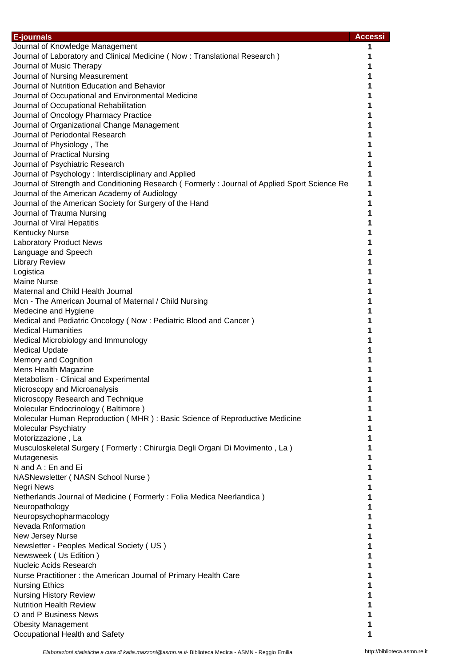| <b>E-journals</b>                                                                             | <b>Accessi</b> |
|-----------------------------------------------------------------------------------------------|----------------|
| Journal of Knowledge Management                                                               | 1              |
| Journal of Laboratory and Clinical Medicine (Now: Translational Research)                     | 1              |
| Journal of Music Therapy                                                                      | 1              |
| Journal of Nursing Measurement                                                                |                |
| Journal of Nutrition Education and Behavior                                                   |                |
| Journal of Occupational and Environmental Medicine                                            | 1              |
| Journal of Occupational Rehabilitation                                                        |                |
| Journal of Oncology Pharmacy Practice                                                         |                |
| Journal of Organizational Change Management                                                   |                |
| Journal of Periodontal Research                                                               |                |
| Journal of Physiology, The                                                                    |                |
| Journal of Practical Nursing                                                                  |                |
| Journal of Psychiatric Research                                                               | 1              |
| Journal of Psychology: Interdisciplinary and Applied                                          | 1              |
| Journal of Strength and Conditioning Research (Formerly: Journal of Applied Sport Science Re: | 1              |
| Journal of the American Academy of Audiology                                                  | 1              |
| Journal of the American Society for Surgery of the Hand                                       | 1              |
| Journal of Trauma Nursing                                                                     |                |
| Journal of Viral Hepatitis                                                                    |                |
| <b>Kentucky Nurse</b><br><b>Laboratory Product News</b>                                       |                |
| Language and Speech                                                                           |                |
| <b>Library Review</b>                                                                         |                |
| Logistica                                                                                     |                |
| <b>Maine Nurse</b>                                                                            |                |
| Maternal and Child Health Journal                                                             |                |
| Mcn - The American Journal of Maternal / Child Nursing                                        | 1              |
| Medecine and Hygiene                                                                          |                |
| Medical and Pediatric Oncology (Now: Pediatric Blood and Cancer)                              | 1              |
| <b>Medical Humanities</b>                                                                     |                |
| Medical Microbiology and Immunology                                                           |                |
| <b>Medical Update</b>                                                                         |                |
| Memory and Cognition                                                                          |                |
| Mens Health Magazine                                                                          |                |
| Metabolism - Clinical and Experimental                                                        | 1              |
| Microscopy and Microanalysis                                                                  | 1              |
| Microscopy Research and Technique                                                             |                |
| Molecular Endocrinology (Baltimore)                                                           |                |
| Molecular Human Reproduction (MHR) : Basic Science of Reproductive Medicine                   |                |
| <b>Molecular Psychiatry</b><br>Motorizzazione, La                                             |                |
| Musculoskeletal Surgery (Formerly: Chirurgia Degli Organi Di Movimento, La)                   |                |
| Mutagenesis                                                                                   |                |
| N and A: En and Ei                                                                            | 1              |
| NASNewsletter (NASN School Nurse)                                                             | 1              |
| Negri News                                                                                    | 1              |
| Netherlands Journal of Medicine (Formerly: Folia Medica Neerlandica)                          | 1              |
| Neuropathology                                                                                | 1              |
| Neuropsychopharmacology                                                                       |                |
| Nevada Rnformation                                                                            | 1              |
| New Jersey Nurse                                                                              | 1              |
| Newsletter - Peoples Medical Society (US)                                                     | 1              |
| Newsweek (Us Edition)                                                                         | 1              |
| <b>Nucleic Acids Research</b>                                                                 | 1              |
| Nurse Practitioner: the American Journal of Primary Health Care                               | 1              |
| <b>Nursing Ethics</b>                                                                         | 1              |
| <b>Nursing History Review</b>                                                                 |                |
| <b>Nutrition Health Review</b><br>O and P Business News                                       | 1              |
| <b>Obesity Management</b>                                                                     | 1              |
| Occupational Health and Safety                                                                |                |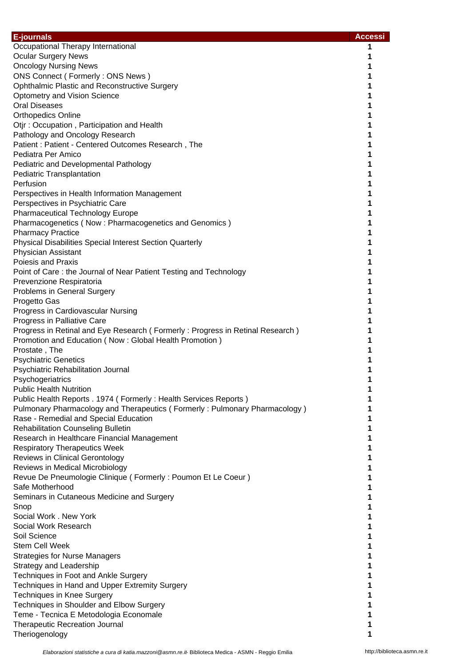| E-journals                                                                             | <b>Accessi</b> |
|----------------------------------------------------------------------------------------|----------------|
| Occupational Therapy International                                                     | 1              |
| <b>Ocular Surgery News</b>                                                             | 1              |
| <b>Oncology Nursing News</b>                                                           | 1              |
| ONS Connect (Formerly: ONS News)                                                       | 1              |
| Ophthalmic Plastic and Reconstructive Surgery                                          | 1              |
| <b>Optometry and Vision Science</b>                                                    | 1              |
| <b>Oral Diseases</b>                                                                   | 1              |
| <b>Orthopedics Online</b>                                                              |                |
| Otjr: Occupation, Participation and Health                                             | 1              |
| Pathology and Oncology Research<br>Patient : Patient - Centered Outcomes Research, The | 1<br>1         |
| Pediatra Per Amico                                                                     | 1              |
| Pediatric and Developmental Pathology                                                  | 1              |
| <b>Pediatric Transplantation</b>                                                       | 1              |
| Perfusion                                                                              |                |
| Perspectives in Health Information Management                                          |                |
| Perspectives in Psychiatric Care                                                       | 1              |
| <b>Pharmaceutical Technology Europe</b>                                                | 1              |
| Pharmacogenetics (Now: Pharmacogenetics and Genomics)                                  | 1              |
| <b>Pharmacy Practice</b>                                                               | 1              |
| <b>Physical Disabilities Special Interest Section Quarterly</b>                        | 1              |
| <b>Physician Assistant</b>                                                             |                |
| <b>Poiesis and Praxis</b>                                                              |                |
| Point of Care: the Journal of Near Patient Testing and Technology                      |                |
| Prevenzione Respiratoria                                                               |                |
| Problems in General Surgery                                                            |                |
| Progetto Gas                                                                           | 1              |
| Progress in Cardiovascular Nursing<br>Progress in Palliative Care                      | 1              |
| Progress in Retinal and Eye Research (Formerly: Progress in Retinal Research)          | 1              |
| Promotion and Education (Now: Global Health Promotion)                                 |                |
| Prostate, The                                                                          |                |
| <b>Psychiatric Genetics</b>                                                            | 1              |
| Psychiatric Rehabilitation Journal                                                     | 1              |
| Psychogeriatrics                                                                       | 1              |
| <b>Public Health Nutrition</b>                                                         | 1              |
| Public Health Reports . 1974 (Formerly: Health Services Reports)                       |                |
| Pulmonary Pharmacology and Therapeutics (Formerly: Pulmonary Pharmacology)             |                |
| Rase - Remedial and Special Education                                                  |                |
| <b>Rehabilitation Counseling Bulletin</b>                                              | 1              |
| Research in Healthcare Financial Management                                            |                |
| <b>Respiratory Therapeutics Week</b>                                                   |                |
| <b>Reviews in Clinical Gerontology</b>                                                 |                |
| Reviews in Medical Microbiology                                                        | 1              |
| Revue De Pneumologie Clinique (Formerly: Poumon Et Le Coeur)<br>Safe Motherhood        | 1<br>1         |
| Seminars in Cutaneous Medicine and Surgery                                             | 1              |
| Snop                                                                                   |                |
| Social Work . New York                                                                 |                |
| Social Work Research                                                                   |                |
| Soil Science                                                                           |                |
| <b>Stem Cell Week</b>                                                                  | 1              |
| <b>Strategies for Nurse Managers</b>                                                   | 1              |
| Strategy and Leadership                                                                | 1              |
| Techniques in Foot and Ankle Surgery                                                   | 1              |
| Techniques in Hand and Upper Extremity Surgery                                         | 1              |
| <b>Techniques in Knee Surgery</b>                                                      |                |
| Techniques in Shoulder and Elbow Surgery                                               |                |
| Teme - Tecnica E Metodologia Economale                                                 | 1              |
| <b>Therapeutic Recreation Journal</b>                                                  | 1              |
| Theriogenology                                                                         | 1              |